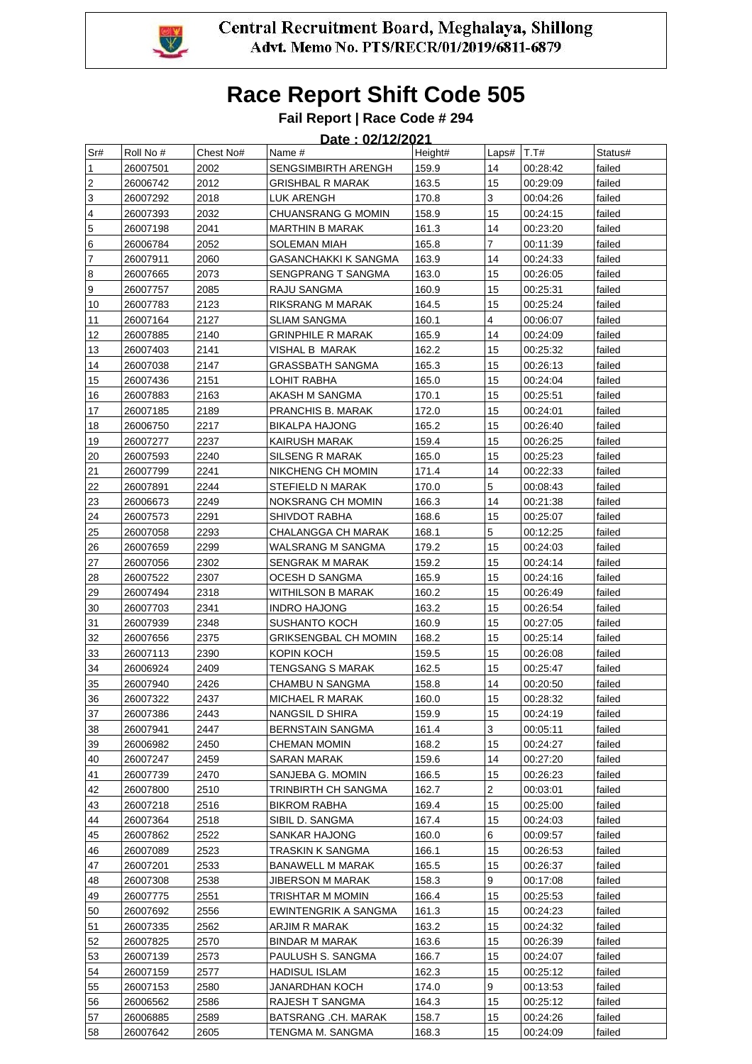

#### **Fail Report | Race Code # 294**

#### **Date : 02/12/2021**  Sr# Roll No # Chest No# Name # Height# Laps# T.T# Status# 1 26007501 2002 SENGSIMBIRTH ARENGH 159.9 14 00:28:42 failed 2 26006742 2012 GRISHBAL R MARAK 163.5 15 00:29:09 failed 3 26007292 2018 LUK ARENGH 170.8 3 00:04:26 failed 4 26007393 2032 CHUANSRANG G MOMIN 158.9 15 00:24:15 failed 5 26007198 2041 MARTHIN B MARAK 161.3 14 00:23:20 failed 6 26006784 2052 SOLEMAN MIAH 165.8 7 00:11:39 failed 7 26007911 2060 GASANCHAKKI K SANGMA 163.9 14 00:24:33 failed 8 26007665 2073 SENGPRANG T SANGMA 163.0 15 00:26:05 failed 9 26007757 2085 RAJU SANGMA 160.9 15 00:25:31 failed 10 26007783 2123 RIKSRANG M MARAK 164.5 15 00:25:24 failed 11 26007164 2127 SLIAM SANGMA 160.1 4 00:06:07 failed 12 26007885 2140 GRINPHILE R MARAK 165.9 14 00:24:09 failed 13 26007403 2141 VISHAL B MARAK 162.2 15 00:25:32 failed 14 26007038 2147 GRASSBATH SANGMA 165.3 15 00:26:13 failed 15 26007436 2151 LOHIT RABHA 165.0 15 00:24:04 failed 16 26007883 2163 AKASH M SANGMA 170.1 15 00:25:51 failed 17 26007185 2189 PRANCHIS B. MARAK 172.0 15 00:24:01 failed 18 26006750 2217 BIKALPA HAJONG 165.2 15 00:26:40 failed 19 26007277 2237 KAIRUSH MARAK 159.4 15 00:26:25 failed 20 26007593 2240 SILSENG R MARAK 165.0 15 00:25:23 failed 21 26007799 2241 | NIKCHENG CH MOMIN | 171.4 | 14 | 00:22:33 | failed 22 26007891 2244 STEFIELD N MARAK 170.0 5 00:08:43 failed 23 26006673 2249 NOKSRANG CH MOMIN 166.3 14 00:21:38 failed 24 26007573 2291 SHIVDOT RABHA 168.6 15 00:25:07 failed 25 26007058 2293 CHALANGGA CH MARAK 168.1 5 00:12:25 failed 26 26007659 2299 WALSRANG M SANGMA 179.2 15 00:24:03 failed 27 26007056 2302 SENGRAK MARAK 159.2 15 00:24:14 failed 28 26007522 2307 OCESH D SANGMA 165.9 15 00:24:16 failed 29 26007494 2318 WITHILSON B MARAK 160.2 15 00:26:49 failed 30 26007703 2341 INDRO HAJONG 163.2 15 00:26:54 failed 31 26007939 2348 SUSHANTO KOCH 160.9 15 00:27:05 failed 32 | 26007656 | 2375 | GRIKSENGBAL CH MOMIN | 168.2 | 15 | 00:25:14 | failed 33 26007113 2390 KOPIN KOCH 159.5 15 00:26:08 failed 34 26006924 2409 TENGSANG S MARAK 162.5 15 00:25:47 failed 35 26007940 2426 CHAMBU N SANGMA 158.8 14 00:20:50 failed 36 26007322 2437 MICHAEL R MARAK 160.0 15 00:28:32 failed 37 26007386 2443 NANGSIL D SHIRA 159.9 15 00:24:19 failed 38 26007941 2447 BERNSTAIN SANGMA 161.4 3 00:05:11 failed 39 26006982 2450 CHEMAN MOMIN 168.2 15 00:24:27 failed 40 26007247 2459 SARAN MARAK 159.6 14 00:27:20 failed 41 26007739 2470 SANJEBA G. MOMIN 166.5 15 00:26:23 failed 42 | 26007800 | 2510 | TRINBIRTH CH SANGMA | 162.7 | 2 | 00:03:01 | failed 43 26007218 2516 BIKROM RABHA 169.4 15 00:25:00 failed 44 26007364 2518 SIBIL D. SANGMA 167.4 15 00:24:03 failed 45 26007862 2522 SANKAR HAJONG 160.0 6 00:09:57 failed 46 26007089 2523 TRASKIN K SANGMA 166.1 15 00:26:53 failed 47 26007201 2533 BANAWELL M MARAK 165.5 15 00:26:37 failed 48 26007308 2538 JIBERSON M MARAK 158.3 9 00:17:08 failed 49 26007775 2551 TRISHTAR M MOMIN 166.4 15 00:25:53 failed 50 | 26007692 | 2556 | EWINTENGRIK A SANGMA | 161.3 | 15 | 00:24:23 | failed 51 26007335 2562 ARJIM R MARAK 163.2 15 00:24:32 failed 52 26007825 2570 BINDAR M MARAK 163.6 15 00:26:39 failed 53 26007139 2573 PAULUSH S. SANGMA 166.7 15 00:24:07 failed 54 26007159 2577 HADISUL ISLAM 162.3 15 00:25:12 failed 55 26007153 2580 JANARDHAN KOCH 174.0 9 00:13:53 failed 56 26006562 2586 RAJESH T SANGMA 164.3 15 00:25:12 failed 57 26006885 2589 BATSRANG .CH. MARAK 158.7 15 00:24:26 failed

58 26007642 2605 TENGMA M. SANGMA 168.3 15 00:24:09 failed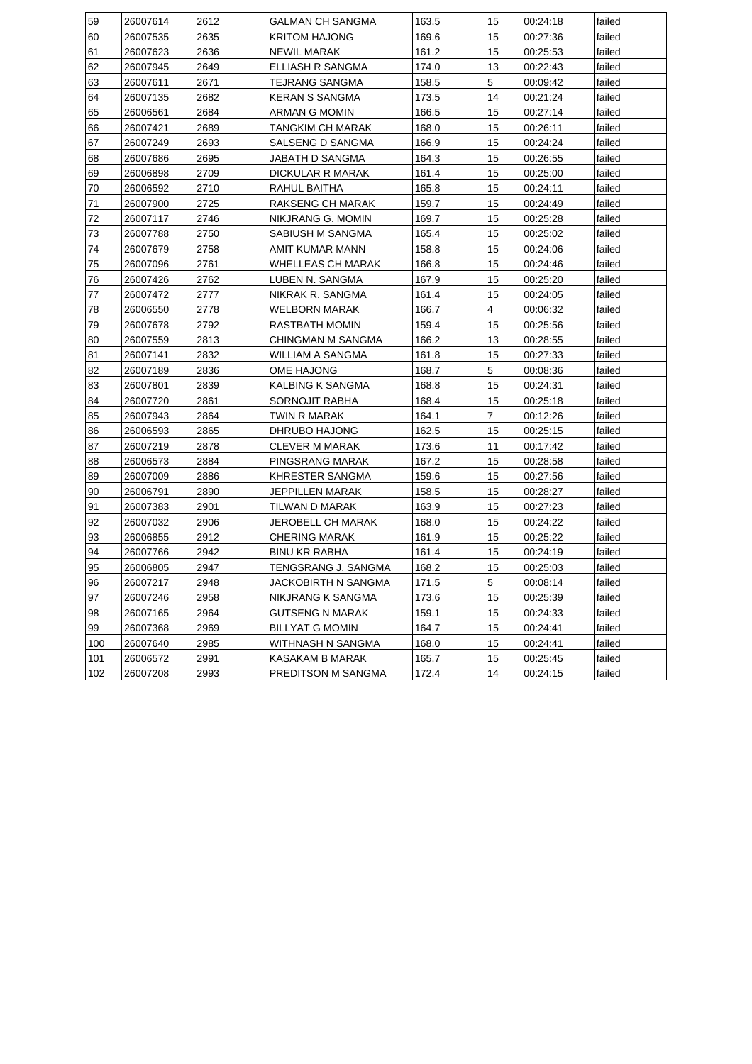| 59  | 26007614 | 2612 | GALMAN CH SANGMA       | 163.5 | 15 | 00:24:18 | failed |
|-----|----------|------|------------------------|-------|----|----------|--------|
| 60  | 26007535 | 2635 | <b>KRITOM HAJONG</b>   | 169.6 | 15 | 00:27:36 | failed |
| 61  | 26007623 | 2636 | NEWIL MARAK            | 161.2 | 15 | 00:25:53 | failed |
| 62  | 26007945 | 2649 | ELLIASH R SANGMA       | 174.0 | 13 | 00:22:43 | failed |
| 63  | 26007611 | 2671 | TEJRANG SANGMA         | 158.5 | 5  | 00:09:42 | failed |
| 64  | 26007135 | 2682 | KERAN S SANGMA         | 173.5 | 14 | 00:21:24 | failed |
| 65  | 26006561 | 2684 | ARMAN G MOMIN          | 166.5 | 15 | 00:27:14 | failed |
| 66  | 26007421 | 2689 | TANGKIM CH MARAK       | 168.0 | 15 | 00:26:11 | failed |
| 67  | 26007249 | 2693 | SALSENG D SANGMA       | 166.9 | 15 | 00:24:24 | failed |
| 68  | 26007686 | 2695 | JABATH D SANGMA        | 164.3 | 15 | 00:26:55 | failed |
| 69  | 26006898 | 2709 | DICKULAR R MARAK       | 161.4 | 15 | 00:25:00 | failed |
| 70  | 26006592 | 2710 | RAHUL BAITHA           | 165.8 | 15 | 00:24:11 | failed |
| 71  | 26007900 | 2725 | RAKSENG CH MARAK       | 159.7 | 15 | 00:24:49 | failed |
| 72  | 26007117 | 2746 | NIKJRANG G. MOMIN      | 169.7 | 15 | 00:25:28 | failed |
| 73  | 26007788 | 2750 | SABIUSH M SANGMA       | 165.4 | 15 | 00:25:02 | failed |
| 74  | 26007679 | 2758 | AMIT KUMAR MANN        | 158.8 | 15 | 00:24:06 | failed |
| 75  | 26007096 | 2761 | WHELLEAS CH MARAK      | 166.8 | 15 | 00:24:46 | failed |
| 76  | 26007426 | 2762 | LUBEN N. SANGMA        | 167.9 | 15 | 00:25:20 | failed |
| 77  | 26007472 | 2777 | NIKRAK R. SANGMA       | 161.4 | 15 | 00:24:05 | failed |
| 78  | 26006550 | 2778 | WELBORN MARAK          | 166.7 | 4  | 00:06:32 | failed |
| 79  | 26007678 | 2792 | RASTBATH MOMIN         | 159.4 | 15 | 00:25:56 | failed |
| 80  | 26007559 | 2813 | CHINGMAN M SANGMA      | 166.2 | 13 | 00:28:55 | failed |
| 81  | 26007141 | 2832 | WILLIAM A SANGMA       | 161.8 | 15 | 00:27:33 | failed |
| 82  | 26007189 | 2836 | OME HAJONG             | 168.7 | 5  | 00:08:36 | failed |
| 83  | 26007801 | 2839 | KALBING K SANGMA       | 168.8 | 15 | 00:24:31 | failed |
| 84  | 26007720 | 2861 | SORNOJIT RABHA         | 168.4 | 15 | 00:25:18 | failed |
| 85  | 26007943 | 2864 | TWIN R MARAK           | 164.1 | 7  | 00:12:26 | failed |
| 86  | 26006593 | 2865 | DHRUBO HAJONG          | 162.5 | 15 | 00:25:15 | failed |
| 87  | 26007219 | 2878 | <b>CLEVER M MARAK</b>  | 173.6 | 11 | 00:17:42 | failed |
| 88  | 26006573 | 2884 | PINGSRANG MARAK        | 167.2 | 15 | 00:28:58 | failed |
| 89  | 26007009 | 2886 | KHRESTER SANGMA        | 159.6 | 15 | 00:27:56 | failed |
| 90  | 26006791 | 2890 | JEPPILLEN MARAK        | 158.5 | 15 | 00:28:27 | failed |
| 91  | 26007383 | 2901 | TILWAN D MARAK         | 163.9 | 15 | 00:27:23 | failed |
| 92  | 26007032 | 2906 | JEROBELL CH MARAK      | 168.0 | 15 | 00:24:22 | failed |
| 93  | 26006855 | 2912 | <b>CHERING MARAK</b>   | 161.9 | 15 | 00:25:22 | failed |
| 94  | 26007766 | 2942 | <b>BINU KR RABHA</b>   | 161.4 | 15 | 00:24:19 | failed |
| 95  | 26006805 | 2947 | TENGSRANG J. SANGMA    | 168.2 | 15 | 00:25:03 | failed |
| 96  | 26007217 | 2948 | JACKOBIRTH N SANGMA    | 171.5 | 5  | 00:08:14 | failed |
| 97  | 26007246 | 2958 | NIKJRANG K SANGMA      | 173.6 | 15 | 00:25:39 | failed |
| 98  | 26007165 | 2964 | <b>GUTSENG N MARAK</b> | 159.1 | 15 | 00:24:33 | failed |
| 99  | 26007368 | 2969 | <b>BILLYAT G MOMIN</b> | 164.7 | 15 | 00:24:41 | failed |
| 100 | 26007640 | 2985 | WITHNASH N SANGMA      | 168.0 | 15 | 00:24:41 | failed |
| 101 | 26006572 | 2991 |                        | 165.7 | 15 | 00:25:45 | failed |
|     | 26007208 | 2993 | KASAKAM B MARAK        |       |    |          |        |
| 102 |          |      | PREDITSON M SANGMA     | 172.4 | 14 | 00:24:15 | failed |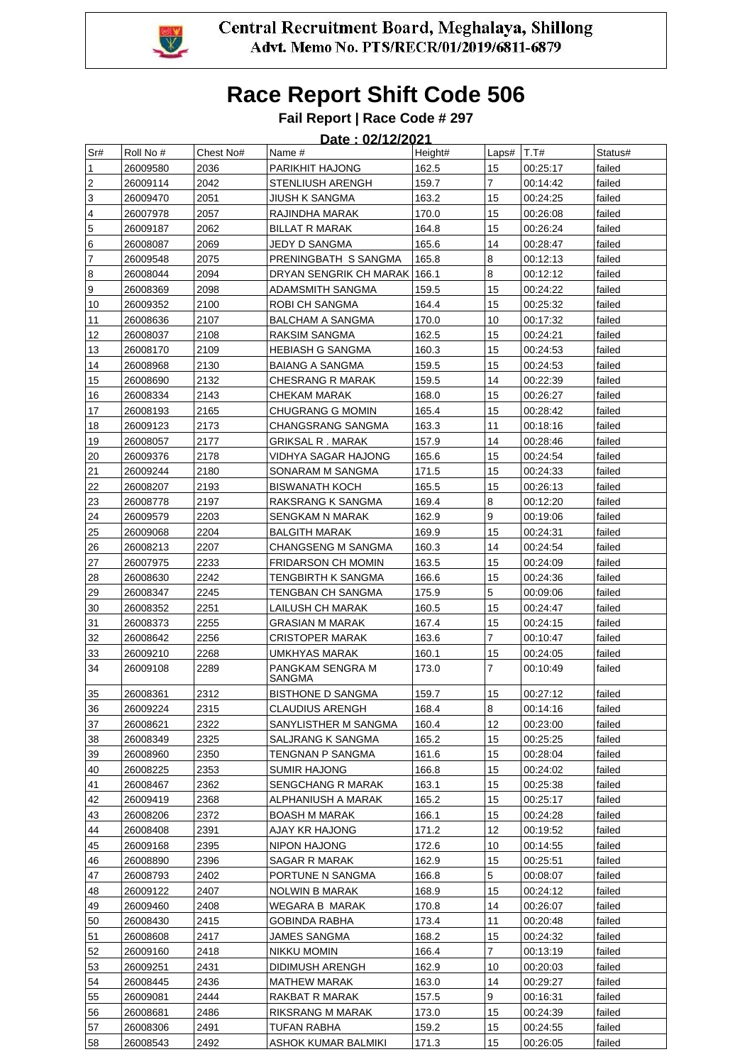

### **Fail Report | Race Code # 297**

| Sr#                     | Roll No # | Chest No# | ----<br>Name #               | .<br>Height# | Laps# $ T.T#$  |                      | Status# |
|-------------------------|-----------|-----------|------------------------------|--------------|----------------|----------------------|---------|
| 1                       | 26009580  | 2036      | PARIKHIT HAJONG              | 162.5        | 15             | 00:25:17             | failed  |
| $\overline{2}$          | 26009114  | 2042      | STENLIUSH ARENGH             | 159.7        | 7              | 00:14:42             | failed  |
| 3                       | 26009470  | 2051      | <b>JIUSH K SANGMA</b>        | 163.2        | 15             | 00:24:25             | failed  |
| $\overline{\mathbf{4}}$ | 26007978  | 2057      | RAJINDHA MARAK               | 170.0        | 15             | 00:26:08             | failed  |
| $\overline{5}$          | 26009187  | 2062      | BILLAT R MARAK               | 164.8        | 15             | 00:26:24             | failed  |
| 6                       | 26008087  | 2069      | JEDY D SANGMA                | 165.6        | 14             | 00:28:47             | failed  |
| $\overline{7}$          | 26009548  | 2075      | PRENINGBATH S SANGMA         | 165.8        | 8              | 00:12:13             | failed  |
| 8                       | 26008044  | 2094      | DRYAN SENGRIK CH MARAK 166.1 |              | 8              | 00:12:12             | failed  |
| 9                       | 26008369  | 2098      | ADAMSMITH SANGMA             | 159.5        | 15             | 00:24:22             | failed  |
| 10                      | 26009352  | 2100      | ROBI CH SANGMA               | 164.4        | 15             | 00:25:32             | failed  |
| 11                      | 26008636  | 2107      | BALCHAM A SANGMA             | 170.0        | 10             | 00:17:32             | failed  |
| 12                      | 26008037  | 2108      | RAKSIM SANGMA                | 162.5        | 15             | 00:24:21             | failed  |
| 13                      | 26008170  | 2109      | HEBIASH G SANGMA             | 160.3        | 15             | 00:24:53             | failed  |
| 14                      | 26008968  | 2130      | <b>BAIANG A SANGMA</b>       | 159.5        | 15             | 00:24:53             | failed  |
| 15                      | 26008690  | 2132      | CHESRANG R MARAK             | 159.5        | 14             | 00:22:39             | failed  |
| 16                      | 26008334  | 2143      | CHEKAM MARAK                 | 168.0        | 15             | 00:26:27             | failed  |
| 17                      | 26008193  | 2165      | CHUGRANG G MOMIN             | 165.4        | 15             | 00:28:42             | failed  |
| 18                      | 26009123  | 2173      | CHANGSRANG SANGMA            | 163.3        | 11             | 00:18:16             | failed  |
| 19                      | 26008057  | 2177      | <b>GRIKSAL R. MARAK</b>      | 157.9        | 14             | 00:28:46             | failed  |
| 20                      | 26009376  | 2178      | VIDHYA SAGAR HAJONG          | 165.6        | 15             | 00:24:54             | failed  |
| 21                      |           | 2180      |                              | 171.5        | 15             |                      | failed  |
| 22                      | 26009244  | 2193      | SONARAM M SANGMA             | 165.5        | 15             | 00:24:33<br>00:26:13 | failed  |
|                         | 26008207  |           | <b>BISWANATH KOCH</b>        |              | 8              |                      |         |
| 23                      | 26008778  | 2197      | RAKSRANG K SANGMA            | 169.4        | 9              | 00:12:20             | failed  |
| 24                      | 26009579  | 2203      | SENGKAM N MARAK              | 162.9        |                | 00:19:06             | failed  |
| 25                      | 26009068  | 2204      | <b>BALGITH MARAK</b>         | 169.9        | 15             | 00:24:31             | failed  |
| 26                      | 26008213  | 2207      | CHANGSENG M SANGMA           | 160.3        | 14             | 00:24:54             | failed  |
| 27                      | 26007975  | 2233      | <b>FRIDARSON CH MOMIN</b>    | 163.5        | 15             | 00:24:09             | failed  |
| 28                      | 26008630  | 2242      | TENGBIRTH K SANGMA           | 166.6        | 15             | 00:24:36             | failed  |
| 29                      | 26008347  | 2245      | TENGBAN CH SANGMA            | 175.9        | 5              | 00:09:06             | failed  |
| 30                      | 26008352  | 2251      | LAILUSH CH MARAK             | 160.5        | 15             | 00:24:47             | failed  |
| 31                      | 26008373  | 2255      | GRASIAN M MARAK              | 167.4        | 15             | 00:24:15             | failed  |
| 32                      | 26008642  | 2256      | CRISTOPER MARAK              | 163.6        | 7              | 00:10:47             | failed  |
| 33                      | 26009210  | 2268      | UMKHYAS MARAK                | 160.1        | 15             | 00:24:05             | failed  |
| 34                      | 26009108  | 2289      | PANGKAM SENGRA M<br>SANGMA   | 173.0        | 7              | 00:10:49             | failed  |
| 35                      | 26008361  | 2312      | <b>BISTHONE D SANGMA</b>     | 159.7        | 15             | 00:27:12             | failed  |
| 36                      | 26009224  | 2315      | CLAUDIUS ARENGH              | 168.4        | 8              | 00:14:16             | failed  |
| 37                      | 26008621  | 2322      | SANYLISTHER M SANGMA         | 160.4        | 12             | 00:23:00             | failed  |
| 38                      | 26008349  | 2325      | SALJRANG K SANGMA            | 165.2        | 15             | 00:25:25             | failed  |
| 39                      | 26008960  | 2350      | TENGNAN P SANGMA             | 161.6        | 15             | 00:28:04             | failed  |
| 40                      | 26008225  | 2353      | SUMIR HAJONG                 | 166.8        | 15             | 00:24:02             | failed  |
| 41                      | 26008467  | 2362      | SENGCHANG R MARAK            | 163.1        | 15             | 00:25:38             | failed  |
| 42                      | 26009419  | 2368      | ALPHANIUSH A MARAK           | 165.2        | 15             | 00:25:17             | failed  |
| 43                      | 26008206  | 2372      | <b>BOASH M MARAK</b>         | 166.1        | 15             | 00:24:28             | failed  |
| 44                      | 26008408  | 2391      | AJAY KR HAJONG               | 171.2        | 12             | 00:19:52             | failed  |
| 45                      | 26009168  | 2395      | NIPON HAJONG                 | 172.6        | 10             | 00:14:55             | failed  |
| 46                      | 26008890  | 2396      | SAGAR R MARAK                | 162.9        | 15             | 00:25:51             | failed  |
| 47                      | 26008793  | 2402      | PORTUNE N SANGMA             | 166.8        | 5              | 00:08:07             | failed  |
| 48                      | 26009122  | 2407      | NOLWIN B MARAK               | 168.9        | 15             | 00:24:12             | failed  |
| 49                      | 26009460  | 2408      | WEGARA B MARAK               | 170.8        | 14             | 00:26:07             | failed  |
| 50                      | 26008430  | 2415      | GOBINDA RABHA                | 173.4        | 11             | 00:20:48             | failed  |
| 51                      | 26008608  | 2417      | JAMES SANGMA                 | 168.2        | 15             | 00:24:32             | failed  |
| 52                      | 26009160  | 2418      | NIKKU MOMIN                  | 166.4        | $\overline{7}$ | 00:13:19             | failed  |
| 53                      | 26009251  | 2431      | DIDIMUSH ARENGH              | 162.9        | 10             | 00:20:03             | failed  |
| 54                      | 26008445  | 2436      | MATHEW MARAK                 | 163.0        | 14             | 00:29:27             | failed  |
|                         |           | 2444      |                              | 157.5        | 9              |                      | failed  |
| 55                      | 26009081  |           | RAKBAT R MARAK               |              |                | 00:16:31             |         |
| 56                      | 26008681  | 2486      | RIKSRANG M MARAK             | 173.0        | 15             | 00:24:39             | failed  |
| 57                      | 26008306  | 2491      | TUFAN RABHA                  | 159.2        | 15             | 00:24:55             | failed  |
| 58                      | 26008543  | 2492      | ASHOK KUMAR BALMIKI          | 171.3        | 15             | 00:26:05             | failed  |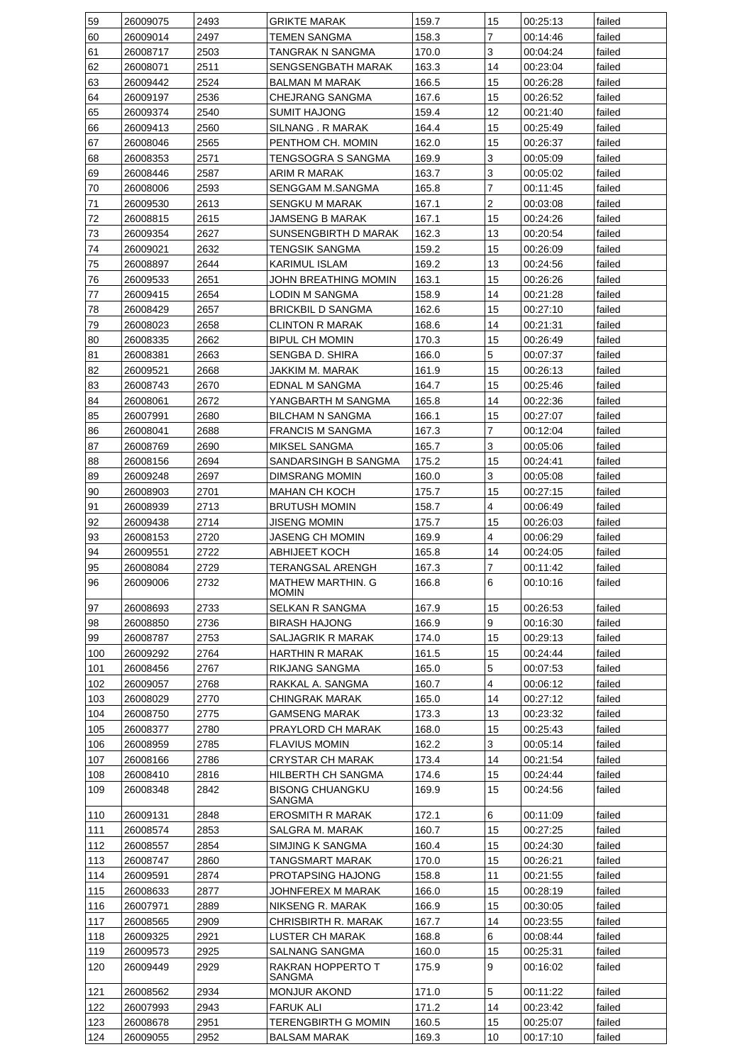| 59  | 26009075             | 2493 | <b>GRIKTE MARAK</b>                          | 159.7                   | 15             | 00:25:13 | failed |
|-----|----------------------|------|----------------------------------------------|-------------------------|----------------|----------|--------|
| 60  | 26009014             | 2497 | <b>TEMEN SANGMA</b>                          | 158.3                   | 7              | 00:14:46 | failed |
| 61  | 26008717             | 2503 | TANGRAK N SANGMA                             | 170.0                   | 3              | 00:04:24 | failed |
| 62  | 26008071             | 2511 | SENGSENGBATH MARAK                           | 14<br>163.3<br>00:23:04 |                |          | failed |
| 63  | 26009442             | 2524 | BALMAN M MARAK                               | 166.5                   | 15             | 00:26:28 | failed |
| 64  | 26009197             | 2536 | CHEJRANG SANGMA                              | 167.6                   | 15             | 00:26:52 | failed |
| 65  | 26009374             | 2540 | SUMIT HAJONG                                 | 159.4                   | 12             | 00:21:40 | failed |
| 66  | 26009413             | 2560 | SILNANG. R MARAK                             | 164.4                   | 15             | 00:25:49 | failed |
| 67  | 26008046             | 2565 | PENTHOM CH. MOMIN                            | 162.0                   | 15             | 00:26:37 | failed |
| 68  | 26008353             | 2571 | 3<br>169.9<br>TENGSOGRA S SANGMA<br>00:05:09 |                         |                | failed   |        |
| 69  | 26008446             | 2587 | ARIM R MARAK                                 | 163.7                   | 3              | 00:05:02 | failed |
| 70  | 26008006             | 2593 | SENGGAM M.SANGMA                             | 165.8                   | $\overline{7}$ | 00:11:45 | failed |
| 71  | 26009530             | 2613 | SENGKU M MARAK                               | 167.1                   | $\overline{2}$ | 00:03:08 | failed |
| 72  | 26008815             | 2615 | JAMSENG B MARAK                              | 167.1                   | 15             | 00:24:26 | failed |
| 73  | 26009354             | 2627 | SUNSENGBIRTH D MARAK                         | 162.3                   | 13             | 00:20:54 | failed |
| 74  | 26009021             | 2632 | TENGSIK SANGMA                               | 159.2                   | 15             | 00:26:09 | failed |
| 75  | 26008897             | 2644 | <b>KARIMUL ISLAM</b>                         | 169.2                   | 13             | 00:24:56 | failed |
| 76  | 26009533             | 2651 | JOHN BREATHING MOMIN                         | 163.1                   | 15             | 00:26:26 | failed |
| 77  | 26009415             | 2654 | LODIN M SANGMA                               | 158.9                   | 14             | 00:21:28 | failed |
| 78  | 26008429             | 2657 | <b>BRICKBIL D SANGMA</b>                     | 162.6                   | 15             | 00:27:10 | failed |
| 79  | 26008023             | 2658 | <b>CLINTON R MARAK</b>                       | 168.6                   | 14             | 00:21:31 | failed |
| 80  | 26008335             | 2662 | <b>BIPUL CH MOMIN</b>                        | 170.3                   | 15             | 00:26:49 | failed |
| 81  | 26008381             | 2663 | SENGBA D. SHIRA                              | 166.0                   | 5              | 00:07:37 | failed |
| 82  | 26009521             | 2668 | JAKKIM M. MARAK                              | 161.9                   | 15             | 00:26:13 | failed |
| 83  | 26008743             | 2670 | EDNAL M SANGMA                               | 164.7                   | 15             | 00:25:46 | failed |
| 84  | 26008061             | 2672 | YANGBARTH M SANGMA                           | 165.8                   | 14             | 00:22:36 | failed |
| 85  | 26007991             | 2680 | BILCHAM N SANGMA                             | 166.1                   | 15             | 00:27:07 | failed |
| 86  | 26008041             | 2688 | <b>FRANCIS M SANGMA</b>                      | 167.3                   | $\overline{7}$ | 00:12:04 | failed |
| 87  | 26008769             | 2690 | MIKSEL SANGMA                                | 165.7                   | 3              | 00:05:06 | failed |
| 88  | 26008156             | 2694 | SANDARSINGH B SANGMA                         | 175.2                   | 15             | 00:24:41 | failed |
| 89  | 26009248             | 2697 | DIMSRANG MOMIN                               | 160.0                   | 3              | 00:05:08 | failed |
| 90  | 26008903             | 2701 | MAHAN CH KOCH                                | 175.7                   | 15             | 00:27:15 | failed |
| 91  | 26008939             | 2713 | <b>BRUTUSH MOMIN</b>                         | 158.7                   | $\overline{4}$ | 00:06:49 | failed |
| 92  | 26009438             | 2714 | JISENG MOMIN                                 | 175.7                   | 15             | 00:26:03 | failed |
| 93  | 26008153             | 2720 | JASENG CH MOMIN                              | 169.9                   | $\overline{4}$ | 00:06:29 | failed |
| 94  | 26009551             | 2722 | <b>ABHIJEET KOCH</b>                         | 165.8                   | 14             | 00:24:05 | failed |
| 95  | 26008084             | 2729 | TERANGSAL ARENGH                             | 167.3                   | $\overline{7}$ | 00:11:42 | failed |
| 96  | 26009006             | 2732 | MATHEW MARTHIN. G<br><b>MOMIN</b>            | 166.8                   | 6              | 00:10:16 | failed |
| 97  | 26008693             | 2733 | SELKAN R SANGMA                              | 167.9                   | 15             | 00:26:53 | failed |
| 98  | 26008850             | 2736 | <b>BIRASH HAJONG</b>                         | 166.9                   | 9              | 00:16:30 | failed |
| 99  | 26008787             | 2753 | SALJAGRIK R MARAK                            | 174.0                   | 15             | 00:29:13 | failed |
| 100 | 26009292             | 2764 | <b>HARTHIN R MARAK</b>                       | 161.5                   | 15             | 00:24:44 | failed |
| 101 | 26008456             | 2767 | RIKJANG SANGMA                               | 165.0                   | 5              | 00:07:53 | failed |
| 102 | 26009057             | 2768 | RAKKAL A. SANGMA                             | 160.7                   | 4              | 00:06:12 | failed |
| 103 | 26008029             | 2770 | CHINGRAK MARAK                               | 165.0                   | 14             | 00:27:12 | failed |
| 104 | 26008750             | 2775 | GAMSENG MARAK                                | 173.3                   | 13             | 00:23:32 | failed |
| 105 | 26008377             | 2780 | PRAYLORD CH MARAK                            | 168.0                   | 15             | 00:25:43 | failed |
| 106 | 26008959             | 2785 | <b>FLAVIUS MOMIN</b>                         | 162.2                   | 3              | 00:05:14 | failed |
| 107 | 26008166             | 2786 | <b>CRYSTAR CH MARAK</b>                      | 173.4                   | 14             | 00:21:54 | failed |
| 108 | 26008410             | 2816 | HILBERTH CH SANGMA                           | 174.6                   | 15             | 00:24:44 | failed |
| 109 | 26008348             | 2842 | <b>BISONG CHUANGKU</b><br>SANGMA             | 169.9                   | 15             | 00:24:56 | failed |
| 110 | 26009131             | 2848 | <b>EROSMITH R MARAK</b>                      | 172.1                   | 6              | 00:11:09 | failed |
| 111 | 26008574             | 2853 | SALGRA M. MARAK                              | 160.7                   | 15             | 00:27:25 | failed |
| 112 | 26008557             | 2854 | SIMJING K SANGMA                             | 160.4                   | 15             | 00:24:30 | failed |
| 113 | 26008747             | 2860 | TANGSMART MARAK                              | 170.0                   | 15             | 00:26:21 | failed |
| 114 | 26009591             | 2874 | PROTAPSING HAJONG                            | 158.8                   | 11             | 00:21:55 | failed |
| 115 | 26008633             | 2877 | JOHNFEREX M MARAK                            | 166.0                   | 15             | 00:28:19 | failed |
| 116 | 26007971             | 2889 | NIKSENG R. MARAK                             | 166.9                   | 15             | 00:30:05 | failed |
| 117 | 26008565             | 2909 | CHRISBIRTH R. MARAK                          | 167.7                   | 14             | 00:23:55 | failed |
| 118 | 26009325             | 2921 |                                              | 168.8                   | 6              | 00:08:44 | failed |
| 119 | 26009573             | 2925 | LUSTER CH MARAK<br>SALNANG SANGMA            | 160.0                   |                | 00:25:31 | failed |
| 120 | 26009449             | 2929 | RAKRAN HOPPERTO T                            | 175.9                   | 15<br>9        | 00:16:02 | failed |
|     |                      |      | SANGMA                                       |                         |                |          |        |
| 121 | 26008562             | 2934 | <b>MONJUR AKOND</b>                          | 171.0                   | 5              | 00:11:22 | failed |
| 122 | 26007993             | 2943 | <b>FARUK ALI</b>                             | 171.2                   | 14             | 00:23:42 | failed |
| 123 |                      | 2951 | TERENGBIRTH G MOMIN                          | 160.5                   | 15             | 00:25:07 | failed |
|     | 26008678<br>26009055 | 2952 |                                              | 169.3                   |                |          | failed |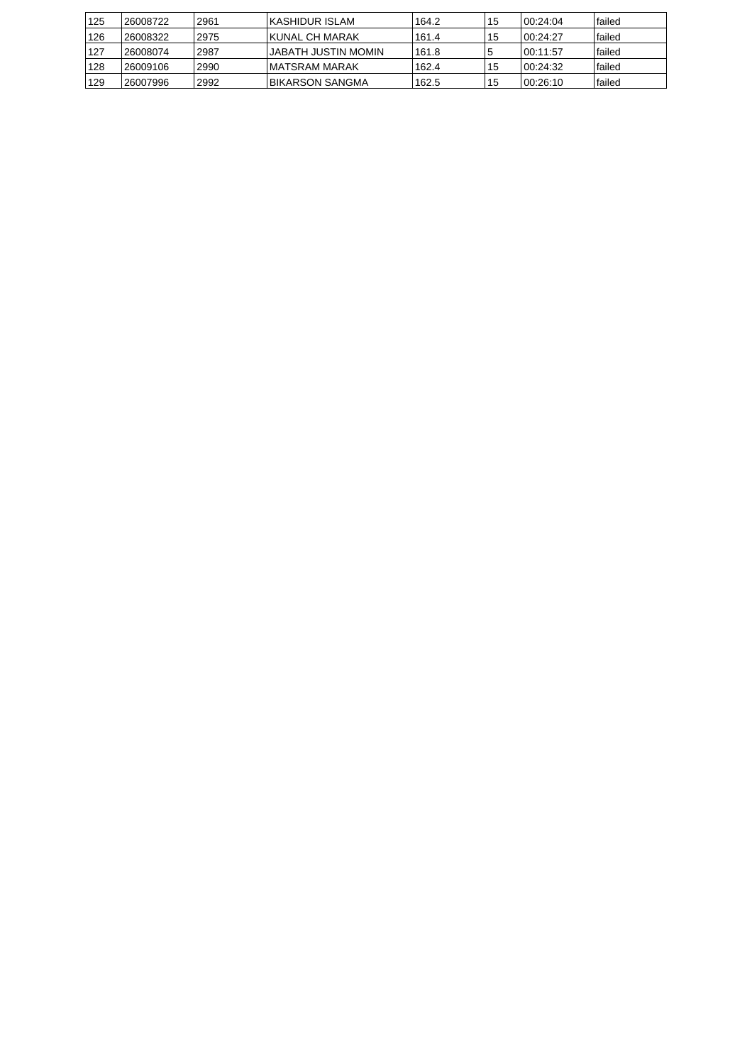| 125 | 26008722  | 2961 | IKASHIDUR ISLAM            | 164.2 | 15  | 100:24:04 | lfailed |
|-----|-----------|------|----------------------------|-------|-----|-----------|---------|
| 126 | 26008322  | 2975 | <b>IKUNAL CH MARAK</b>     | 161.4 | 15  | 100.24.27 | lfailed |
| 127 | 126008074 | 2987 | <b>JABATH JUSTIN MOMIN</b> | 161.8 |     | 100:11:57 | lfailed |
| 128 | 126009106 | 2990 | IMATSRAM MARAK             | 162.4 | 15  | 100:24:32 | lfailed |
| 129 | 26007996  | 2992 | IBIKARSON SANGMA           | 162.5 | '15 | 100:26:10 | lfailed |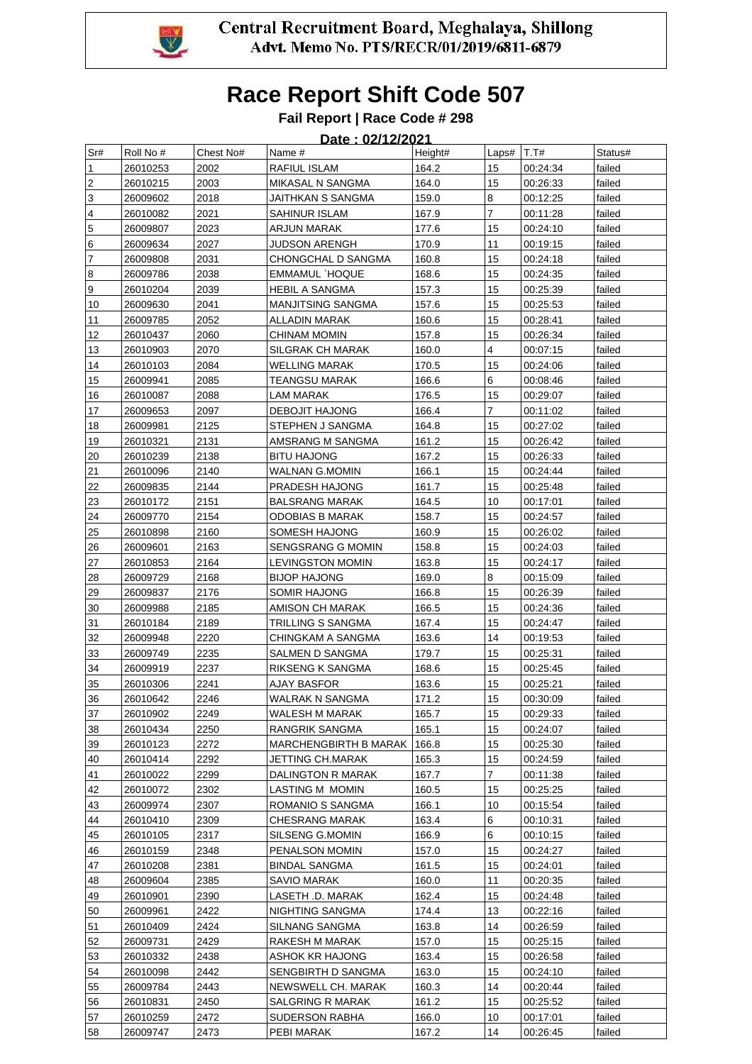

### **Fail Report | Race Code # 298**

| Sr#                       | Roll No # | Chest No# | Name #                  | Height# | Laps# | T.T#     | Status# |
|---------------------------|-----------|-----------|-------------------------|---------|-------|----------|---------|
| 1                         | 26010253  | 2002      | RAFIUL ISLAM            | 164.2   | 15    | 00:24:34 | failed  |
| $\overline{2}$            | 26010215  | 2003      | MIKASAL N SANGMA        | 164.0   | 15    | 00:26:33 | failed  |
| $\ensuremath{\mathsf{3}}$ | 26009602  | 2018      | JAITHKAN S SANGMA       | 159.0   | 8     | 00:12:25 | failed  |
| $\pmb{4}$                 | 26010082  | 2021      | SAHINUR ISLAM           | 167.9   | 7     | 00:11:28 | failed  |
| $\mathbf 5$               | 26009807  | 2023      | ARJUN MARAK             | 177.6   | 15    | 00:24:10 | failed  |
| $\boxed{6}$               | 26009634  | 2027      | <b>JUDSON ARENGH</b>    | 170.9   | 11    | 00:19:15 | failed  |
| $\overline{7}$            | 26009808  | 2031      | CHONGCHAL D SANGMA      | 160.8   | 15    | 00:24:18 | failed  |
| $\boldsymbol{8}$          | 26009786  | 2038      | EMMAMUL `HOQUE          | 168.6   | 15    | 00:24:35 | failed  |
| $\boldsymbol{9}$          | 26010204  | 2039      | <b>HEBIL A SANGMA</b>   | 157.3   | 15    | 00:25:39 | failed  |
| 10                        | 26009630  | 2041      | MANJITSING SANGMA       | 157.6   | 15    | 00:25:53 | failed  |
| 11                        | 26009785  | 2052      | ALLADIN MARAK           | 160.6   | 15    | 00:28:41 | failed  |
| 12                        | 26010437  | 2060      | CHINAM MOMIN            | 157.8   | 15    | 00:26:34 | failed  |
| 13                        | 26010903  | 2070      | SILGRAK CH MARAK        | 160.0   | 4     | 00:07:15 | failed  |
| 14                        | 26010103  | 2084      | <b>WELLING MARAK</b>    | 170.5   | 15    | 00:24:06 | failed  |
| 15                        | 26009941  | 2085      | TEANGSU MARAK           | 166.6   | 6     | 00:08:46 | failed  |
| 16                        | 26010087  | 2088      | LAM MARAK               | 176.5   | 15    | 00:29:07 | failed  |
| 17                        | 26009653  | 2097      | DEBOJIT HAJONG          | 166.4   | 7     | 00:11:02 | failed  |
| 18                        | 26009981  | 2125      | STEPHEN J SANGMA        | 164.8   | 15    | 00:27:02 | failed  |
| 19                        | 26010321  | 2131      | AMSRANG M SANGMA        | 161.2   | 15    | 00:26:42 | failed  |
| 20                        | 26010239  | 2138      | <b>BITU HAJONG</b>      | 167.2   | 15    | 00:26:33 | failed  |
| 21                        | 26010096  | 2140      | WALNAN G.MOMIN          | 166.1   | 15    | 00:24:44 | failed  |
| 22                        | 26009835  | 2144      | PRADESH HAJONG          | 161.7   | 15    | 00:25:48 | failed  |
| 23                        | 26010172  | 2151      | <b>BALSRANG MARAK</b>   | 164.5   | 10    | 00:17:01 | failed  |
| 24                        | 26009770  | 2154      | <b>ODOBIAS B MARAK</b>  | 158.7   | 15    | 00:24:57 | failed  |
| 25                        | 26010898  | 2160      | SOMESH HAJONG           | 160.9   | 15    | 00:26:02 | failed  |
| 26                        | 26009601  | 2163      | SENGSRANG G MOMIN       | 158.8   | 15    | 00:24:03 | failed  |
| 27                        | 26010853  | 2164      | <b>LEVINGSTON MOMIN</b> | 163.8   | 15    | 00:24:17 | failed  |
| 28                        | 26009729  | 2168      | <b>BIJOP HAJONG</b>     | 169.0   | 8     | 00:15:09 | failed  |
| 29                        | 26009837  | 2176      | SOMIR HAJONG            | 166.8   | 15    | 00:26:39 | failed  |
| 30                        | 26009988  | 2185      | AMISON CH MARAK         | 166.5   | 15    | 00:24:36 | failed  |
| 31                        | 26010184  | 2189      | TRILLING S SANGMA       | 167.4   | 15    | 00:24:47 | failed  |
| 32                        | 26009948  | 2220      | CHINGKAM A SANGMA       | 163.6   | 14    | 00:19:53 | failed  |
| 33                        | 26009749  | 2235      | SALMEN D SANGMA         | 179.7   | 15    | 00:25:31 | failed  |
| 34                        | 26009919  | 2237      | RIKSENG K SANGMA        | 168.6   | 15    | 00:25:45 | failed  |
| 35                        | 26010306  | 2241      | AJAY BASFOR             | 163.6   | 15    | 00:25:21 | failed  |
| 36                        | 26010642  | 2246      | WALRAK N SANGMA         | 171.2   | 15    | 00:30:09 | failed  |
| 37                        | 26010902  | 2249      | WALESH M MARAK          | 165.7   | 15    | 00:29:33 | failed  |
| 38                        | 26010434  | 2250      | RANGRIK SANGMA          | 165.1   | 15    | 00:24:07 | failed  |
| 39                        | 26010123  | 2272      | MARCHENGBIRTH B MARAK   | 166.8   | 15    | 00:25:30 | failed  |
| 40                        | 26010414  | 2292      | JETTING CH.MARAK        | 165.3   | 15    | 00:24:59 | failed  |
| 41                        | 26010022  | 2299      | DALINGTON R MARAK       | 167.7   | 7     | 00:11:38 | failed  |
| 42                        | 26010072  | 2302      | LASTING M MOMIN         | 160.5   | 15    | 00:25:25 | failed  |
| 43                        | 26009974  | 2307      | ROMANIO S SANGMA        | 166.1   | 10    | 00:15:54 | failed  |
| 44                        | 26010410  | 2309      | CHESRANG MARAK          | 163.4   | 6     | 00:10:31 | failed  |
| 45                        | 26010105  | 2317      | SILSENG G.MOMIN         | 166.9   | 6     | 00:10:15 | failed  |
| 46                        | 26010159  | 2348      | PENALSON MOMIN          | 157.0   | 15    | 00:24:27 | failed  |
| 47                        | 26010208  | 2381      | <b>BINDAL SANGMA</b>    | 161.5   | 15    | 00:24:01 | failed  |
| 48                        | 26009604  | 2385      | SAVIO MARAK             | 160.0   | 11    | 00:20:35 | failed  |
| 49                        | 26010901  | 2390      | LASETH .D. MARAK        | 162.4   | 15    | 00:24:48 | failed  |
| 50                        | 26009961  | 2422      | NIGHTING SANGMA         | 174.4   | 13    | 00:22:16 | failed  |
| 51                        | 26010409  | 2424      | SILNANG SANGMA          | 163.8   | 14    | 00:26:59 | failed  |
| 52                        | 26009731  | 2429      | RAKESH M MARAK          | 157.0   | 15    | 00:25:15 | failed  |
| 53                        | 26010332  | 2438      | ASHOK KR HAJONG         | 163.4   | 15    | 00:26:58 | failed  |
| 54                        | 26010098  | 2442      | SENGBIRTH D SANGMA      | 163.0   | 15    | 00:24:10 | failed  |
| 55                        | 26009784  | 2443      | NEWSWELL CH. MARAK      | 160.3   | 14    | 00:20:44 | failed  |
| 56                        | 26010831  | 2450      | SALGRING R MARAK        | 161.2   | 15    | 00:25:52 | failed  |
| 57                        | 26010259  | 2472      | SUDERSON RABHA          | 166.0   | 10    | 00:17:01 | failed  |
| 58                        | 26009747  | 2473      | PEBI MARAK              | 167.2   | 14    | 00:26:45 | failed  |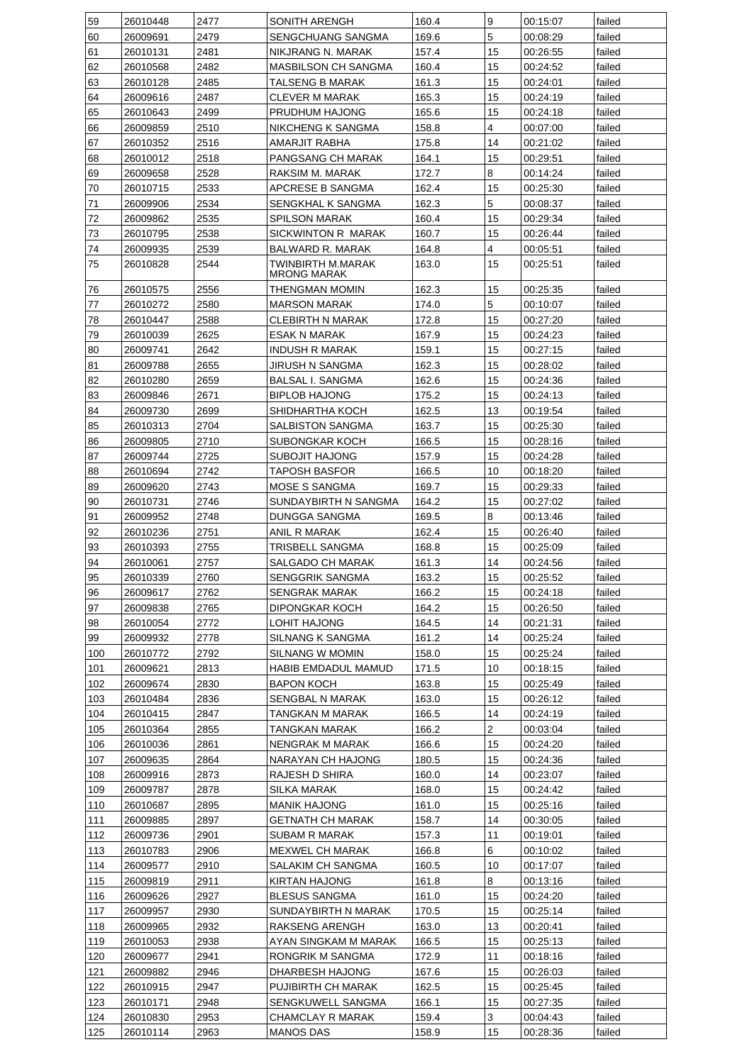| 59  | 26010448 | 2477 | SONITH ARENGH                           | 160.4 | 9              | 00:15:07 | failed |
|-----|----------|------|-----------------------------------------|-------|----------------|----------|--------|
| 60  | 26009691 | 2479 | SENGCHUANG SANGMA                       | 169.6 | 5              | 00:08:29 | failed |
| 61  | 26010131 | 2481 | NIKJRANG N. MARAK                       | 157.4 | 15             | 00:26:55 | failed |
| 62  | 26010568 | 2482 | MASBILSON CH SANGMA                     | 160.4 | 15             | 00:24:52 | failed |
| 63  | 26010128 | 2485 | TALSENG B MARAK                         | 161.3 | 15             | 00:24:01 | failed |
| 64  | 26009616 | 2487 | CLEVER M MARAK                          | 165.3 | 15             | 00:24:19 | failed |
| 65  | 26010643 | 2499 | PRUDHUM HAJONG                          | 165.6 | 15             | 00:24:18 | failed |
| 66  | 26009859 | 2510 | NIKCHENG K SANGMA                       | 158.8 | 4              | 00:07:00 | failed |
|     |          |      |                                         | 175.8 |                |          | failed |
| 67  | 26010352 | 2516 | AMARJIT RABHA                           |       | 14             | 00:21:02 |        |
| 68  | 26010012 | 2518 | PANGSANG CH MARAK                       | 164.1 | 15             | 00:29:51 | failed |
| 69  | 26009658 | 2528 | RAKSIM M. MARAK                         | 172.7 | 8              | 00:14:24 | failed |
| 70  | 26010715 | 2533 | APCRESE B SANGMA                        | 162.4 | 15             | 00:25:30 | failed |
| 71  | 26009906 | 2534 | SENGKHAL K SANGMA                       | 162.3 | 5              | 00:08:37 | failed |
| 72  | 26009862 | 2535 | <b>SPILSON MARAK</b>                    | 160.4 | 15             | 00:29:34 | failed |
| 73  | 26010795 | 2538 | SICKWINTON R MARAK                      | 160.7 | 15             | 00:26:44 | failed |
| 74  | 26009935 | 2539 | BALWARD R. MARAK                        | 164.8 | $\overline{4}$ | 00:05:51 | failed |
| 75  | 26010828 | 2544 | TWINBIRTH M.MARAK<br><b>MRONG MARAK</b> | 163.0 | 15             | 00:25:51 | failed |
| 76  | 26010575 | 2556 | THENGMAN MOMIN                          | 162.3 | 15             | 00:25:35 | failed |
| 77  | 26010272 | 2580 | <b>MARSON MARAK</b>                     | 174.0 | 5              | 00:10:07 | failed |
| 78  | 26010447 | 2588 | CLEBIRTH N MARAK                        | 172.8 | 15             | 00:27:20 | failed |
| 79  | 26010039 | 2625 | ESAK N MARAK                            | 167.9 | 15             | 00:24:23 | failed |
| 80  | 26009741 | 2642 | <b>INDUSH R MARAK</b>                   | 159.1 | 15             | 00:27:15 | failed |
| 81  | 26009788 |      | JIRUSH N SANGMA                         |       | 15             |          |        |
|     |          | 2655 |                                         | 162.3 |                | 00:28:02 | failed |
| 82  | 26010280 | 2659 | BALSAL I. SANGMA                        | 162.6 | 15             | 00:24:36 | failed |
| 83  | 26009846 | 2671 | <b>BIPLOB HAJONG</b>                    | 175.2 | 15             | 00:24:13 | failed |
| 84  | 26009730 | 2699 | SHIDHARTHA KOCH                         | 162.5 | 13             | 00:19:54 | failed |
| 85  | 26010313 | 2704 | SALBISTON SANGMA                        | 163.7 | 15             | 00:25:30 | failed |
| 86  | 26009805 | 2710 | SUBONGKAR KOCH                          | 166.5 | 15             | 00:28:16 | failed |
| 87  | 26009744 | 2725 | SUBOJIT HAJONG                          | 157.9 | 15             | 00:24:28 | failed |
| 88  | 26010694 | 2742 | TAPOSH BASFOR                           | 166.5 | 10             | 00:18:20 | failed |
| 89  | 26009620 | 2743 | MOSE S SANGMA                           | 169.7 | 15             | 00:29:33 | failed |
| 90  | 26010731 | 2746 | SUNDAYBIRTH N SANGMA                    | 164.2 | 15             | 00:27:02 | failed |
| 91  | 26009952 | 2748 | DUNGGA SANGMA                           | 169.5 | 8              | 00:13:46 | failed |
| 92  | 26010236 | 2751 | ANIL R MARAK                            | 162.4 | 15             | 00:26:40 | failed |
| 93  | 26010393 | 2755 | TRISBELL SANGMA                         | 168.8 | 15             | 00:25:09 | failed |
| 94  | 26010061 | 2757 | SALGADO CH MARAK                        | 161.3 | 14             | 00:24:56 | failed |
| 95  | 26010339 | 2760 | SENGGRIK SANGMA                         | 163.2 | 15             | 00:25:52 | failed |
| 96  | 26009617 | 2762 | <b>SENGRAK MARAK</b>                    | 166.2 | 15             | 00:24:18 | failed |
| 97  | 26009838 | 2765 | <b>DIPONGKAR KOCH</b>                   | 164.2 | 15             | 00:26:50 | failed |
| 98  | 26010054 | 2772 | LOHIT HAJONG                            | 164.5 | 14             | 00:21:31 | failed |
| 99  | 26009932 | 2778 | SILNANG K SANGMA                        | 161.2 | 14             | 00:25:24 | failed |
| 100 |          | 2792 | SILNANG W MOMIN                         | 158.0 | 15             |          | failed |
|     | 26010772 |      |                                         |       |                | 00:25:24 |        |
| 101 | 26009621 | 2813 | HABIB EMDADUL MAMUD                     | 171.5 | 10             | 00:18:15 | failed |
| 102 | 26009674 | 2830 | BAPON KOCH                              | 163.8 | 15             | 00:25:49 | failed |
| 103 | 26010484 | 2836 | SENGBAL N MARAK                         | 163.0 | 15             | 00:26:12 | failed |
| 104 | 26010415 | 2847 | TANGKAN M MARAK                         | 166.5 | 14             | 00:24:19 | failed |
| 105 | 26010364 | 2855 | TANGKAN MARAK                           | 166.2 | $\overline{2}$ | 00:03:04 | failed |
| 106 | 26010036 | 2861 | NENGRAK M MARAK                         | 166.6 | 15             | 00:24:20 | failed |
| 107 | 26009635 | 2864 | NARAYAN CH HAJONG                       | 180.5 | 15             | 00:24:36 | failed |
| 108 | 26009916 | 2873 | RAJESH D SHIRA                          | 160.0 | 14             | 00:23:07 | failed |
| 109 | 26009787 | 2878 | SILKA MARAK                             | 168.0 | 15             | 00:24:42 | failed |
| 110 | 26010687 | 2895 | <b>MANIK HAJONG</b>                     | 161.0 | 15             | 00:25:16 | failed |
| 111 | 26009885 | 2897 | <b>GETNATH CH MARAK</b>                 | 158.7 | 14             | 00:30:05 | failed |
| 112 | 26009736 | 2901 | SUBAM R MARAK                           | 157.3 | 11             | 00:19:01 | failed |
| 113 | 26010783 | 2906 | MEXWEL CH MARAK                         | 166.8 | 6              | 00:10:02 | failed |
| 114 | 26009577 | 2910 | SALAKIM CH SANGMA                       | 160.5 | 10             | 00:17:07 | failed |
| 115 | 26009819 | 2911 | KIRTAN HAJONG                           | 161.8 | 8              | 00:13:16 | failed |
| 116 | 26009626 | 2927 | <b>BLESUS SANGMA</b>                    | 161.0 | 15             | 00:24:20 | failed |
| 117 | 26009957 | 2930 | SUNDAYBIRTH N MARAK                     | 170.5 | 15             | 00:25:14 | failed |
|     |          |      |                                         |       |                |          |        |
| 118 | 26009965 | 2932 | RAKSENG ARENGH                          | 163.0 | 13             | 00:20:41 | failed |
| 119 | 26010053 | 2938 | AYAN SINGKAM M MARAK                    | 166.5 | 15             | 00:25:13 | failed |
| 120 | 26009677 | 2941 | RONGRIK M SANGMA                        | 172.9 | 11             | 00:18:16 | failed |
| 121 | 26009882 | 2946 | DHARBESH HAJONG                         | 167.6 | 15             | 00:26:03 | failed |
| 122 | 26010915 | 2947 | PUJIBIRTH CH MARAK                      | 162.5 | 15             | 00:25:45 | failed |
| 123 | 26010171 | 2948 | SENGKUWELL SANGMA                       | 166.1 | 15             | 00:27:35 | failed |
| 124 | 26010830 | 2953 | CHAMCLAY R MARAK                        | 159.4 | 3              | 00:04:43 | failed |
|     |          | 2963 | <b>MANOS DAS</b>                        | 158.9 | 15             | 00:28:36 | failed |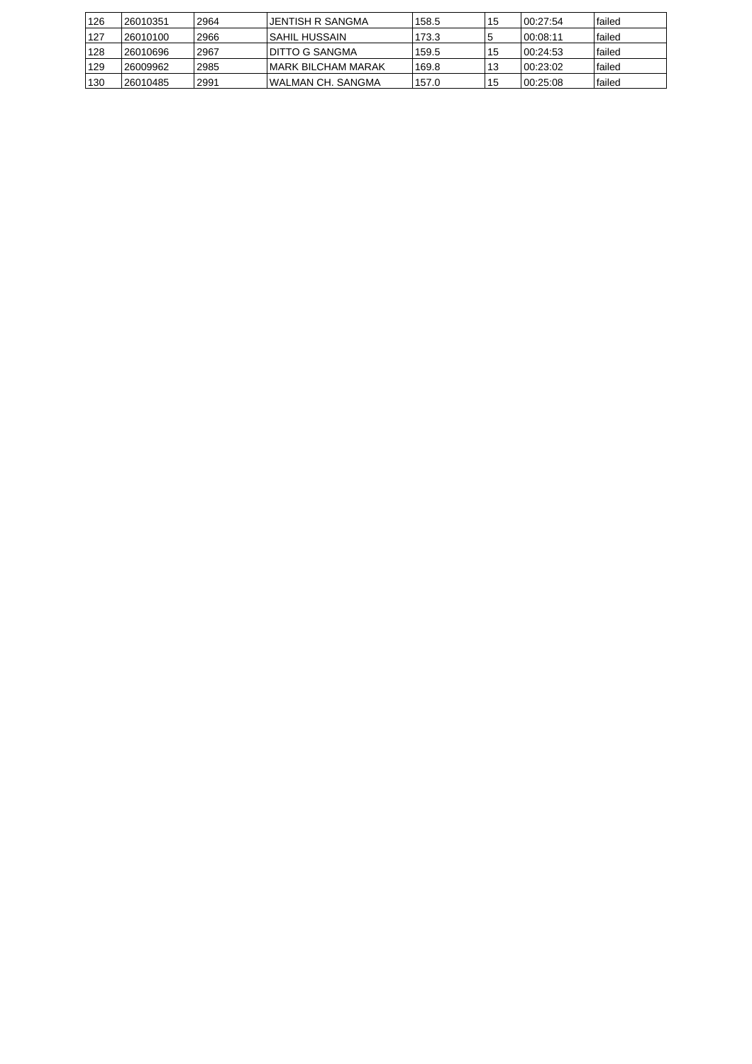| 126 | 26010351  | 2964 | JENTISH R SANGMA    | 158.5 | 15 | 100:27:54 | lfailed |
|-----|-----------|------|---------------------|-------|----|-----------|---------|
| 127 | 126010100 | 2966 | ISAHIL HUSSAIN      | 173.3 | 'ა | 00:08:11  | lfailed |
| 128 | 26010696  | 2967 | I DITTO G SANGMA    | 159.5 | 15 | 100:24:53 | lfailed |
| 129 | 26009962  | 2985 | IMARK BILCHAM MARAK | 169.8 | 13 | 100:23:02 | lfailed |
| 130 | 26010485  | 2991 | IWALMAN CH. SANGMA  | 157.0 | 15 | 100:25:08 | lfailed |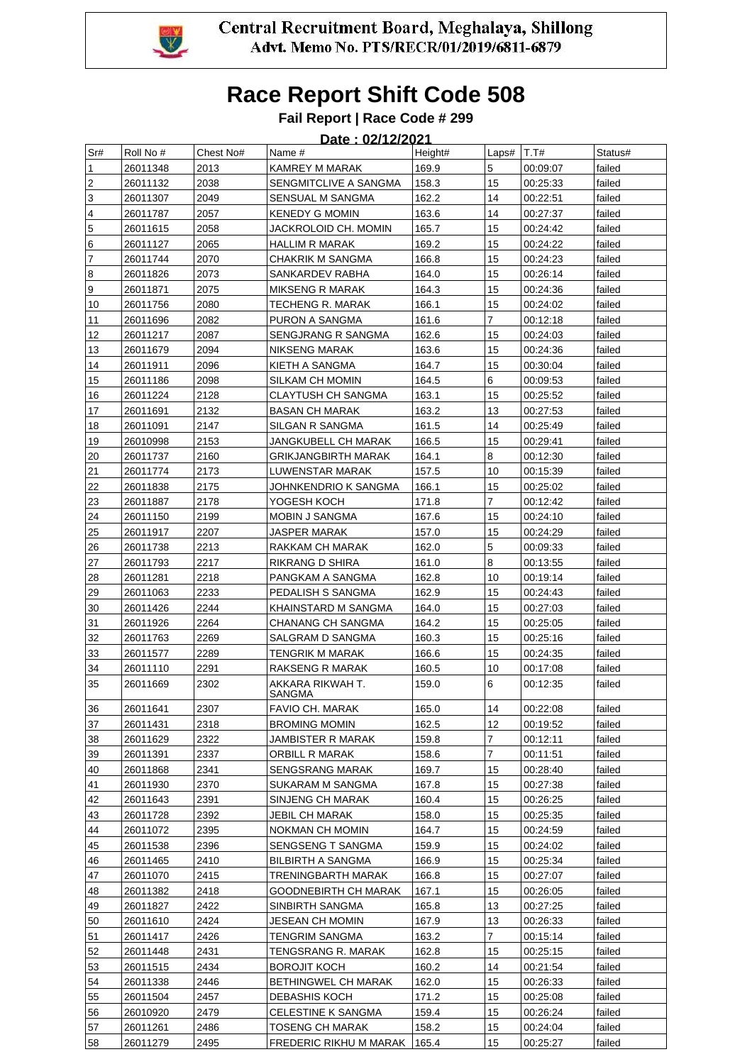

### **Fail Report | Race Code # 299**

| Sr#                     | Roll No # | Chest No# | Name #                     | Height# | Laps# $ T.T#$  |          | Status# |
|-------------------------|-----------|-----------|----------------------------|---------|----------------|----------|---------|
| 1                       | 26011348  | 2013      | KAMREY M MARAK             | 169.9   | 5              | 00:09:07 | failed  |
| $\overline{2}$          | 26011132  | 2038      | SENGMITCLIVE A SANGMA      | 158.3   | 15             | 00:25:33 | failed  |
| 3                       | 26011307  | 2049      | SENSUAL M SANGMA           | 162.2   | 14             | 00:22:51 | failed  |
| $\overline{\mathbf{4}}$ | 26011787  | 2057      | <b>KENEDY G MOMIN</b>      | 163.6   | 14             | 00:27:37 | failed  |
| $\overline{5}$          | 26011615  | 2058      | JACKROLOID CH. MOMIN       | 165.7   | 15             | 00:24:42 | failed  |
| 6                       | 26011127  | 2065      | HALLIM R MARAK             | 169.2   | 15             | 00:24:22 | failed  |
| $\overline{7}$          | 26011744  | 2070      | CHAKRIK M SANGMA           | 166.8   | 15             | 00:24:23 | failed  |
| 8                       | 26011826  | 2073      | SANKARDEV RABHA            | 164.0   | 15             | 00:26:14 | failed  |
| 9                       | 26011871  | 2075      | MIKSENG R MARAK            | 164.3   | 15             | 00:24:36 | failed  |
| 10                      | 26011756  | 2080      | TECHENG R. MARAK           | 166.1   | 15             | 00:24:02 | failed  |
| 11                      | 26011696  | 2082      | PURON A SANGMA             | 161.6   | $\overline{7}$ | 00:12:18 | failed  |
| 12                      | 26011217  | 2087      | SENGJRANG R SANGMA         | 162.6   | 15             | 00:24:03 | failed  |
| 13                      | 26011679  | 2094      | NIKSENG MARAK              | 163.6   | 15             | 00:24:36 | failed  |
| 14                      | 26011911  | 2096      | KIETH A SANGMA             | 164.7   | 15             | 00:30:04 | failed  |
| 15                      | 26011186  | 2098      | SILKAM CH MOMIN            | 164.5   | 6              | 00:09:53 | failed  |
| 16                      | 26011224  | 2128      | CLAYTUSH CH SANGMA         | 163.1   | 15             | 00:25:52 | failed  |
| 17                      | 26011691  | 2132      | <b>BASAN CH MARAK</b>      | 163.2   | 13             | 00:27:53 | failed  |
| 18                      | 26011091  | 2147      | SILGAN R SANGMA            | 161.5   | 14             | 00:25:49 | failed  |
| 19                      | 26010998  | 2153      | JANGKUBELL CH MARAK        | 166.5   | 15             | 00:29:41 | failed  |
| 20                      | 26011737  | 2160      | GRIKJANGBIRTH MARAK        | 164.1   | 8              | 00:12:30 | failed  |
| 21                      | 26011774  | 2173      | LUWENSTAR MARAK            | 157.5   | 10             | 00:15:39 | failed  |
| 22                      | 26011838  | 2175      | JOHNKENDRIO K SANGMA       | 166.1   | 15             | 00:25:02 | failed  |
| 23                      | 26011887  | 2178      | YOGESH KOCH                | 171.8   | 7              | 00:12:42 | failed  |
| 24                      | 26011150  | 2199      | MOBIN J SANGMA             | 167.6   | 15             | 00:24:10 | failed  |
| 25                      | 26011917  | 2207      | JASPER MARAK               | 157.0   | 15             | 00:24:29 | failed  |
| 26                      | 26011738  | 2213      | RAKKAM CH MARAK            | 162.0   | 5              | 00:09:33 | failed  |
| 27                      | 26011793  | 2217      | RIKRANG D SHIRA            | 161.0   | 8              | 00:13:55 | failed  |
| 28                      | 26011281  | 2218      | PANGKAM A SANGMA           | 162.8   | 10             | 00:19:14 | failed  |
| 29                      | 26011063  | 2233      | PEDALISH S SANGMA          | 162.9   | 15             | 00:24:43 | failed  |
| 30                      | 26011426  | 2244      | KHAINSTARD M SANGMA        | 164.0   | 15             | 00:27:03 | failed  |
| 31                      | 26011926  | 2264      | CHANANG CH SANGMA          | 164.2   | 15             | 00:25:05 | failed  |
| 32                      | 26011763  | 2269      | SALGRAM D SANGMA           | 160.3   | 15             | 00:25:16 | failed  |
| 33                      | 26011577  | 2289      | TENGRIK M MARAK            | 166.6   | 15             | 00:24:35 | failed  |
| 34                      | 26011110  | 2291      | RAKSENG R MARAK            | 160.5   | 10             | 00:17:08 | failed  |
| 35                      | 26011669  | 2302      | AKKARA RIKWAH T.<br>SANGMA | 159.0   | 6              | 00:12:35 | failed  |
| 36                      | 26011641  | 2307      | FAVIO CH. MARAK            | 165.0   | 14             | 00:22:08 | failed  |
| 37                      | 26011431  | 2318      | <b>BROMING MOMIN</b>       | 162.5   | 12             | 00:19:52 | failed  |
| 38                      | 26011629  | 2322      | JAMBISTER R MARAK          | 159.8   | 7              | 00:12:11 | failed  |
| 39                      | 26011391  | 2337      | ORBILL R MARAK             | 158.6   | 7              | 00:11:51 | failed  |
| 40                      | 26011868  | 2341      | <b>SENGSRANG MARAK</b>     | 169.7   | 15             | 00:28:40 | failed  |
| 41                      | 26011930  | 2370      | SUKARAM M SANGMA           | 167.8   | 15             | 00:27:38 | failed  |
| 42                      | 26011643  | 2391      | SINJENG CH MARAK           | 160.4   | 15             | 00:26:25 | failed  |
| 43                      | 26011728  | 2392      | JEBIL CH MARAK             | 158.0   | 15             | 00:25:35 | failed  |
| 44                      | 26011072  | 2395      | NOKMAN CH MOMIN            | 164.7   | 15             | 00:24:59 | failed  |
| 45                      | 26011538  | 2396      | SENGSENG T SANGMA          | 159.9   | 15             | 00:24:02 | failed  |
| 46                      | 26011465  | 2410      | <b>BILBIRTH A SANGMA</b>   | 166.9   | 15             | 00:25:34 | failed  |
| 47                      | 26011070  | 2415      | TRENINGBARTH MARAK         | 166.8   | 15             | 00:27:07 | failed  |
| 48                      | 26011382  | 2418      | GOODNEBIRTH CH MARAK       | 167.1   | 15             | 00:26:05 | failed  |
| 49                      | 26011827  | 2422      | SINBIRTH SANGMA            | 165.8   | 13             | 00:27:25 | failed  |
| 50                      | 26011610  | 2424      | JESEAN CH MOMIN            | 167.9   | 13             | 00:26:33 | failed  |
| 51                      | 26011417  | 2426      | TENGRIM SANGMA             | 163.2   | $\overline{7}$ | 00:15:14 | failed  |
| 52                      | 26011448  | 2431      | TENGSRANG R. MARAK         | 162.8   | 15             | 00:25:15 | failed  |
| 53                      | 26011515  | 2434      | <b>BOROJIT KOCH</b>        | 160.2   | 14             | 00:21:54 | failed  |
| 54                      | 26011338  | 2446      | BETHINGWEL CH MARAK        | 162.0   | 15             | 00:26:33 | failed  |
| 55                      | 26011504  | 2457      | DEBASHIS KOCH              | 171.2   | 15             | 00:25:08 | failed  |
| 56                      | 26010920  | 2479      | <b>CELESTINE K SANGMA</b>  | 159.4   | 15             | 00:26:24 | failed  |
| 57                      | 26011261  | 2486      | TOSENG CH MARAK            | 158.2   | 15             | 00:24:04 | failed  |
| 58                      | 26011279  | 2495      | FREDERIC RIKHU M MARAK     | 165.4   | 15             | 00:25:27 | failed  |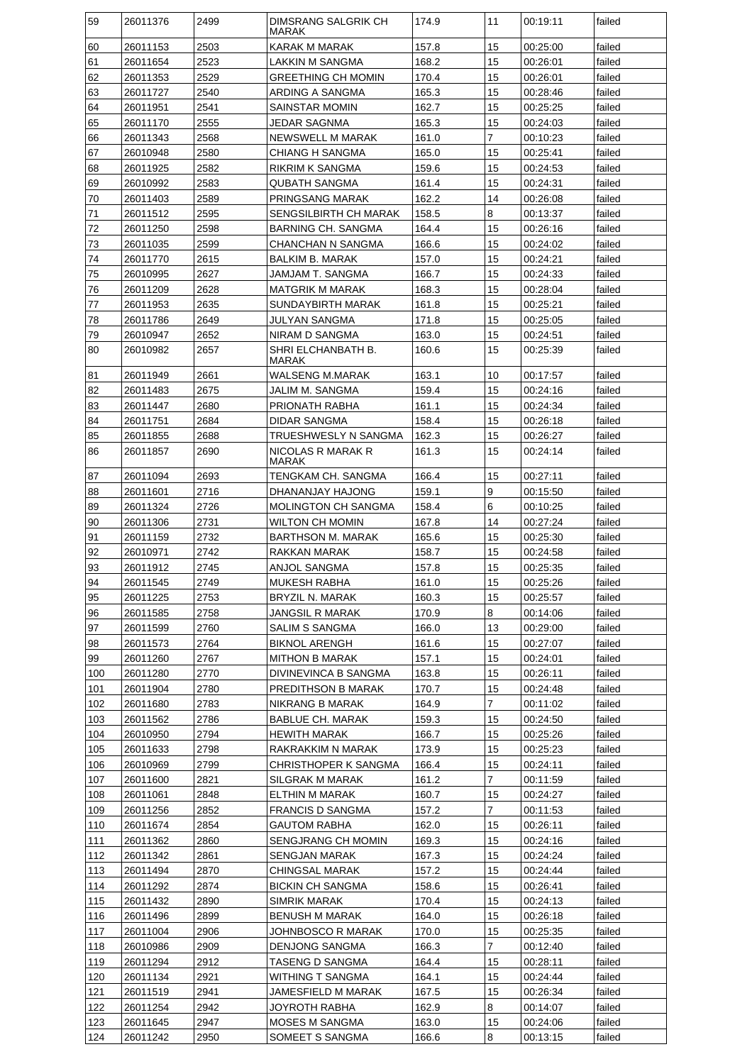| 59  | 26011376 | 2499 | DIMSRANG SALGRIK CH<br>MARAK | 174.9 | 11             | 00:19:11 | failed |
|-----|----------|------|------------------------------|-------|----------------|----------|--------|
| 60  | 26011153 | 2503 | KARAK M MARAK                | 157.8 | 15             | 00:25:00 | failed |
| 61  | 26011654 | 2523 | LAKKIN M SANGMA              | 168.2 | 15             | 00:26:01 | failed |
| 62  | 26011353 | 2529 | GREETHING CH MOMIN           | 170.4 | 15             | 00:26:01 | failed |
| 63  | 26011727 | 2540 | ARDING A SANGMA              | 165.3 | 15             | 00:28:46 | failed |
| 64  | 26011951 | 2541 | SAINSTAR MOMIN               | 162.7 | 15             | 00:25:25 | failed |
| 65  | 26011170 | 2555 | JEDAR SAGNMA                 | 165.3 | 15             | 00:24:03 | failed |
| 66  | 26011343 | 2568 | NEWSWELL M MARAK             | 161.0 | $\overline{7}$ | 00:10:23 | failed |
| 67  | 26010948 | 2580 | CHIANG H SANGMA              | 165.0 | 15             | 00:25:41 | failed |
| 68  | 26011925 | 2582 | RIKRIM K SANGMA              | 159.6 | 15             | 00:24:53 | failed |
| 69  | 26010992 | 2583 | QUBATH SANGMA                | 161.4 | 15             | 00:24:31 | failed |
| 70  | 26011403 | 2589 | PRINGSANG MARAK              | 162.2 | 14             | 00:26:08 | failed |
| 71  | 26011512 | 2595 | SENGSILBIRTH CH MARAK        | 158.5 | 8              | 00:13:37 | failed |
| 72  | 26011250 | 2598 | BARNING CH. SANGMA           | 164.4 | 15             | 00:26:16 | failed |
| 73  | 26011035 | 2599 | CHANCHAN N SANGMA            | 166.6 | 15             | 00:24:02 | failed |
| 74  | 26011770 | 2615 | BALKIM B. MARAK              | 157.0 | 15             | 00:24:21 | failed |
| 75  | 26010995 | 2627 | JAMJAM T. SANGMA             | 166.7 | 15             | 00:24:33 | failed |
| 76  | 26011209 | 2628 | <b>MATGRIK M MARAK</b>       | 168.3 | 15             | 00:28:04 | failed |
| 77  | 26011953 | 2635 | SUNDAYBIRTH MARAK            | 161.8 | 15             | 00:25:21 | failed |
| 78  | 26011786 | 2649 | JULYAN SANGMA                | 171.8 | 15             | 00:25:05 | failed |
| 79  | 26010947 | 2652 | NIRAM D SANGMA               | 163.0 | 15             | 00:24:51 | failed |
| 80  | 26010982 | 2657 | SHRI ELCHANBATH B.           | 160.6 | 15             | 00:25:39 | failed |
|     |          |      | MARAK                        |       |                |          |        |
| 81  | 26011949 | 2661 | WALSENG M.MARAK              | 163.1 | 10             | 00:17:57 | failed |
| 82  | 26011483 | 2675 | JALIM M. SANGMA              | 159.4 | 15             | 00:24:16 | failed |
| 83  | 26011447 | 2680 | PRIONATH RABHA               | 161.1 | 15             | 00:24:34 | failed |
| 84  | 26011751 | 2684 | DIDAR SANGMA                 | 158.4 | 15             | 00:26:18 | failed |
| 85  | 26011855 | 2688 | TRUESHWESLY N SANGMA         | 162.3 | 15             | 00:26:27 | failed |
| 86  | 26011857 | 2690 | NICOLAS R MARAK R<br>MARAK   | 161.3 | 15             | 00:24:14 | failed |
| 87  | 26011094 | 2693 | TENGKAM CH. SANGMA           | 166.4 | 15             | 00:27:11 | failed |
| 88  | 26011601 | 2716 | DHANANJAY HAJONG             | 159.1 | 9              | 00:15:50 | failed |
| 89  | 26011324 | 2726 | <b>MOLINGTON CH SANGMA</b>   | 158.4 | 6              | 00:10:25 | failed |
| 90  | 26011306 | 2731 | WILTON CH MOMIN              | 167.8 | 14             | 00:27:24 | failed |
| 91  | 26011159 | 2732 | <b>BARTHSON M. MARAK</b>     | 165.6 | 15             | 00:25:30 | failed |
| 92  | 26010971 | 2742 | RAKKAN MARAK                 | 158.7 | 15             | 00:24:58 | failed |
| 93  | 26011912 | 2745 | ANJOL SANGMA                 | 157.8 | 15             | 00:25:35 | failed |
| 94  | 26011545 | 2749 | MUKESH RABHA                 | 161.0 | 15             | 00:25:26 | failed |
| 95  | 26011225 | 2753 | BRYZIL N. MARAK              | 160.3 | 15             | 00:25:57 | failed |
| 96  | 26011585 | 2758 | JANGSIL R MARAK              | 170.9 | 8              | 00:14:06 | failed |
| 97  | 26011599 | 2760 | SALIM S SANGMA               | 166.0 | 13             | 00:29:00 | failed |
| 98  | 26011573 | 2764 | <b>BIKNOL ARENGH</b>         | 161.6 | 15             | 00:27:07 | failed |
| 99  | 26011260 | 2767 | MITHON B MARAK               | 157.1 | 15             | 00:24:01 | failed |
| 100 | 26011280 | 2770 | DIVINEVINCA B SANGMA         | 163.8 | 15             | 00:26:11 | failed |
| 101 | 26011904 | 2780 | PREDITHSON B MARAK           | 170.7 | 15             | 00:24:48 | failed |
| 102 | 26011680 | 2783 | NIKRANG B MARAK              | 164.9 | $\overline{7}$ | 00:11:02 | failed |
| 103 | 26011562 | 2786 | <b>BABLUE CH. MARAK</b>      | 159.3 | 15             | 00:24:50 | failed |
| 104 | 26010950 | 2794 | <b>HEWITH MARAK</b>          | 166.7 | 15             | 00:25:26 | failed |
| 105 | 26011633 | 2798 | RAKRAKKIM N MARAK            | 173.9 | 15             | 00:25:23 | failed |
| 106 | 26010969 | 2799 | CHRISTHOPER K SANGMA         | 166.4 | 15             | 00:24:11 | failed |
| 107 | 26011600 | 2821 | SILGRAK M MARAK              | 161.2 | $\overline{7}$ | 00:11:59 | failed |
| 108 | 26011061 | 2848 | ELTHIN M MARAK               | 160.7 | 15             | 00:24:27 | failed |
| 109 | 26011256 | 2852 | <b>FRANCIS D SANGMA</b>      | 157.2 | $\overline{7}$ | 00:11:53 | failed |
| 110 | 26011674 | 2854 | GAUTOM RABHA                 | 162.0 | 15             | 00:26:11 | failed |
| 111 | 26011362 | 2860 | SENGJRANG CH MOMIN           | 169.3 | 15             | 00:24:16 | failed |
| 112 | 26011342 | 2861 | SENGJAN MARAK                | 167.3 | 15             | 00:24:24 | failed |
| 113 | 26011494 | 2870 | CHINGSAL MARAK               | 157.2 | 15             | 00:24:44 | failed |
| 114 | 26011292 | 2874 | BICKIN CH SANGMA             | 158.6 | 15             | 00:26:41 | failed |
| 115 | 26011432 | 2890 | SIMRIK MARAK                 | 170.4 | 15             | 00:24:13 | failed |
| 116 | 26011496 | 2899 | BENUSH M MARAK               | 164.0 | 15             | 00:26:18 | failed |
| 117 | 26011004 | 2906 | JOHNBOSCO R MARAK            | 170.0 | 15             | 00:25:35 | failed |
| 118 | 26010986 | 2909 | DENJONG SANGMA               | 166.3 | $\overline{7}$ | 00:12:40 | failed |
| 119 | 26011294 | 2912 | TASENG D SANGMA              | 164.4 | 15             | 00:28:11 | failed |
| 120 | 26011134 | 2921 | WITHING T SANGMA             | 164.1 | 15             | 00:24:44 | failed |
| 121 | 26011519 | 2941 | JAMESFIELD M MARAK           | 167.5 | 15             | 00:26:34 | failed |
| 122 | 26011254 | 2942 | JOYROTH RABHA                | 162.9 | 8              | 00:14:07 | failed |
| 123 | 26011645 | 2947 | <b>MOSES M SANGMA</b>        | 163.0 | 15             | 00:24:06 | failed |
| 124 | 26011242 | 2950 | SOMEET S SANGMA              | 166.6 | 8              | 00:13:15 | failed |
|     |          |      |                              |       |                |          |        |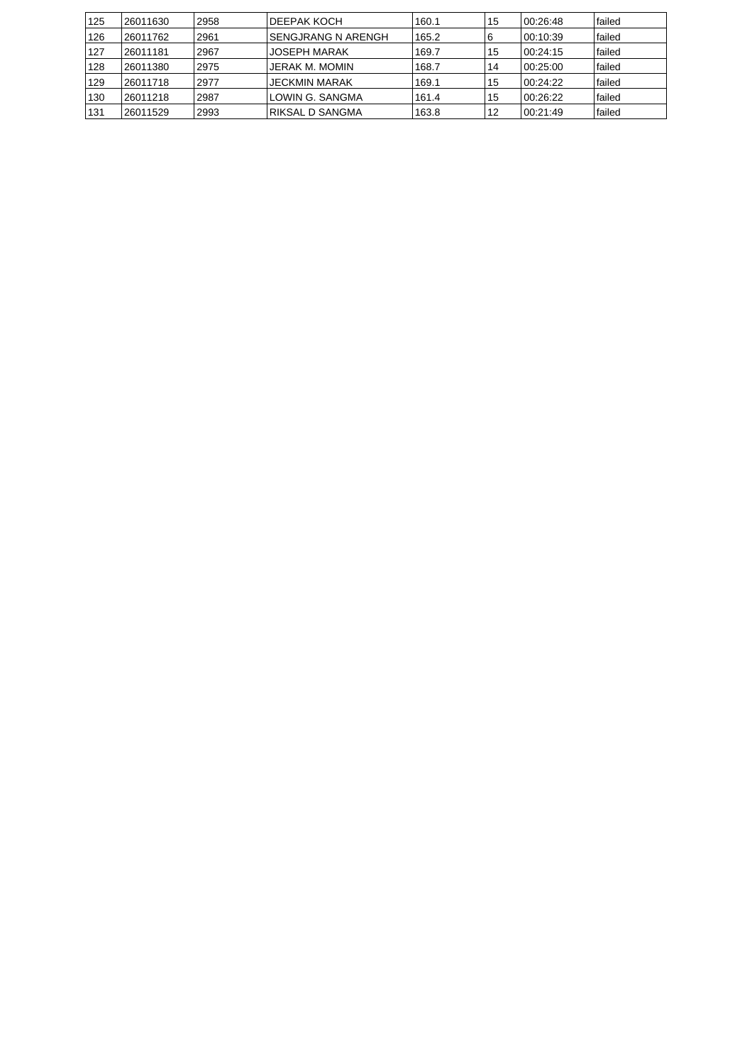| 125 | 26011630 | 2958 | IDEEPAK KOCH              | 160.1 | 15 | 100.26.48 | lfailed |
|-----|----------|------|---------------------------|-------|----|-----------|---------|
| 126 | 26011762 | 2961 | <b>SENGJRANG N ARENGH</b> | 165.2 | 6  | 00:10:39  | lfailed |
| 127 | 26011181 | 2967 | <b>JOSEPH MARAK</b>       | 169.7 | 15 | 00:24:15  | lfailed |
| 128 | 26011380 | 2975 | JERAK M. MOMIN            | 168.7 | 14 | 00:25:00  | lfailed |
| 129 | 26011718 | 2977 | JECKMIN MARAK             | 169.1 | 15 | 00:24:22  | lfailed |
| 130 | 26011218 | 2987 | ILOWIN G. SANGMA          | 161.4 | 15 | 00:26:22  | lfailed |
| 131 | 26011529 | 2993 | RIKSAL D SANGMA           | 163.8 | 12 | 100:21:49 | lfailed |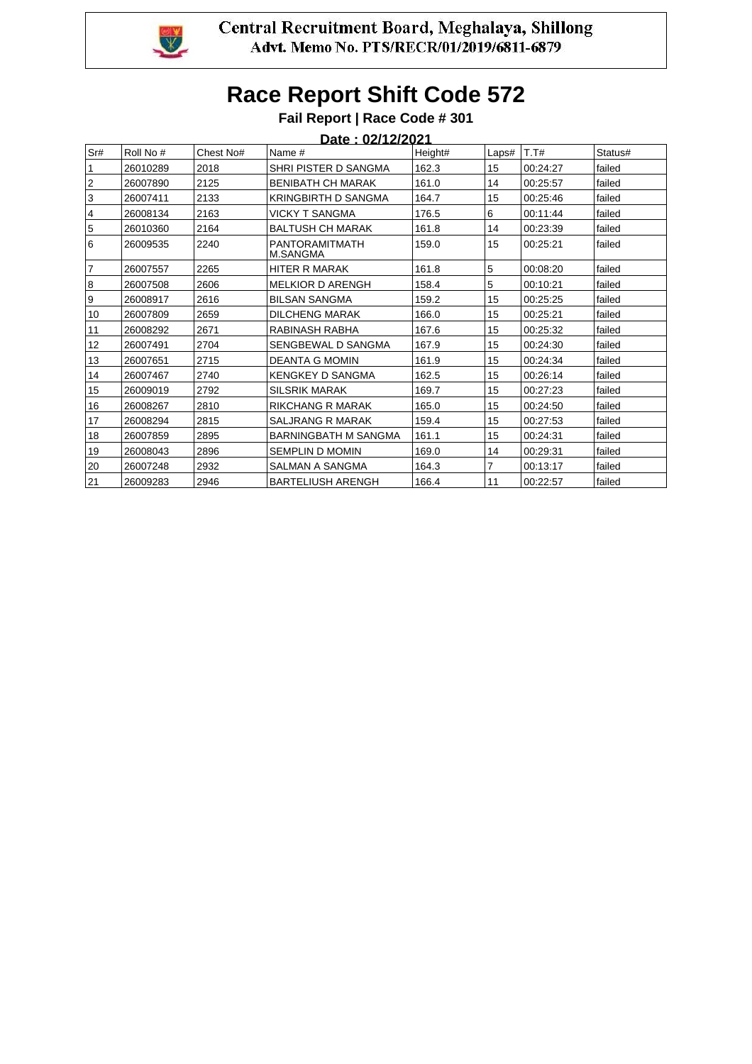

### **Fail Report | Race Code # 301**

|              | Date: 02/12/2021 |           |                                   |         |       |          |         |  |  |  |  |
|--------------|------------------|-----------|-----------------------------------|---------|-------|----------|---------|--|--|--|--|
| Sr#          | Roll No #        | Chest No# | Name #                            | Height# | Laps# | T.T#     | Status# |  |  |  |  |
| $\mathbf{1}$ | 26010289         | 2018      | SHRI PISTER D SANGMA              | 162.3   | 15    | 00:24:27 | failed  |  |  |  |  |
| 2            | 26007890         | 2125      | <b>BENIBATH CH MARAK</b>          | 161.0   | 14    | 00:25:57 | failed  |  |  |  |  |
| 3            | 26007411         | 2133      | <b>KRINGBIRTH D SANGMA</b>        | 164.7   | 15    | 00:25:46 | failed  |  |  |  |  |
| 4            | 26008134         | 2163      | <b>VICKY T SANGMA</b>             | 176.5   | 6     | 00:11:44 | failed  |  |  |  |  |
| 5            | 26010360         | 2164      | <b>BALTUSH CH MARAK</b>           | 161.8   | 14    | 00:23:39 | failed  |  |  |  |  |
| 16           | 26009535         | 2240      | PANTORAMITMATH<br><b>M.SANGMA</b> | 159.0   | 15    | 00:25:21 | failed  |  |  |  |  |
| 17           | 26007557         | 2265      | <b>HITER R MARAK</b>              | 161.8   | 5     | 00:08:20 | failed  |  |  |  |  |
| 8            | 26007508         | 2606      | <b>MELKIOR D ARENGH</b>           | 158.4   | 5     | 00:10:21 | failed  |  |  |  |  |
| l 9          | 26008917         | 2616      | <b>BILSAN SANGMA</b>              | 159.2   | 15    | 00:25:25 | failed  |  |  |  |  |
| 10           | 26007809         | 2659      | <b>DILCHENG MARAK</b>             | 166.0   | 15    | 00:25:21 | failed  |  |  |  |  |
| 11           | 26008292         | 2671      | RABINASH RABHA                    | 167.6   | 15    | 00:25:32 | failed  |  |  |  |  |
| 12           | 26007491         | 2704      | SENGBEWAL D SANGMA                | 167.9   | 15    | 00:24:30 | failed  |  |  |  |  |
| 13           | 26007651         | 2715      | <b>DEANTA G MOMIN</b>             | 161.9   | 15    | 00:24:34 | failed  |  |  |  |  |
| 14           | 26007467         | 2740      | <b>KENGKEY D SANGMA</b>           | 162.5   | 15    | 00:26:14 | failed  |  |  |  |  |
| 15           | 26009019         | 2792      | <b>SILSRIK MARAK</b>              | 169.7   | 15    | 00:27:23 | failed  |  |  |  |  |
| 16           | 26008267         | 2810      | <b>RIKCHANG R MARAK</b>           | 165.0   | 15    | 00:24:50 | failed  |  |  |  |  |
| 17           | 26008294         | 2815      | <b>SALJRANG R MARAK</b>           | 159.4   | 15    | 00:27:53 | failed  |  |  |  |  |
| 18           | 26007859         | 2895      | <b>BARNINGBATH M SANGMA</b>       | 161.1   | 15    | 00:24:31 | failed  |  |  |  |  |
| 19           | 26008043         | 2896      | <b>SEMPLIN D MOMIN</b>            | 169.0   | 14    | 00:29:31 | failed  |  |  |  |  |
| 20           | 26007248         | 2932      | SALMAN A SANGMA                   | 164.3   | 7     | 00:13:17 | failed  |  |  |  |  |
| 21           | 26009283         | 2946      | <b>BARTELIUSH ARENGH</b>          | 166.4   | 11    | 00:22:57 | failed  |  |  |  |  |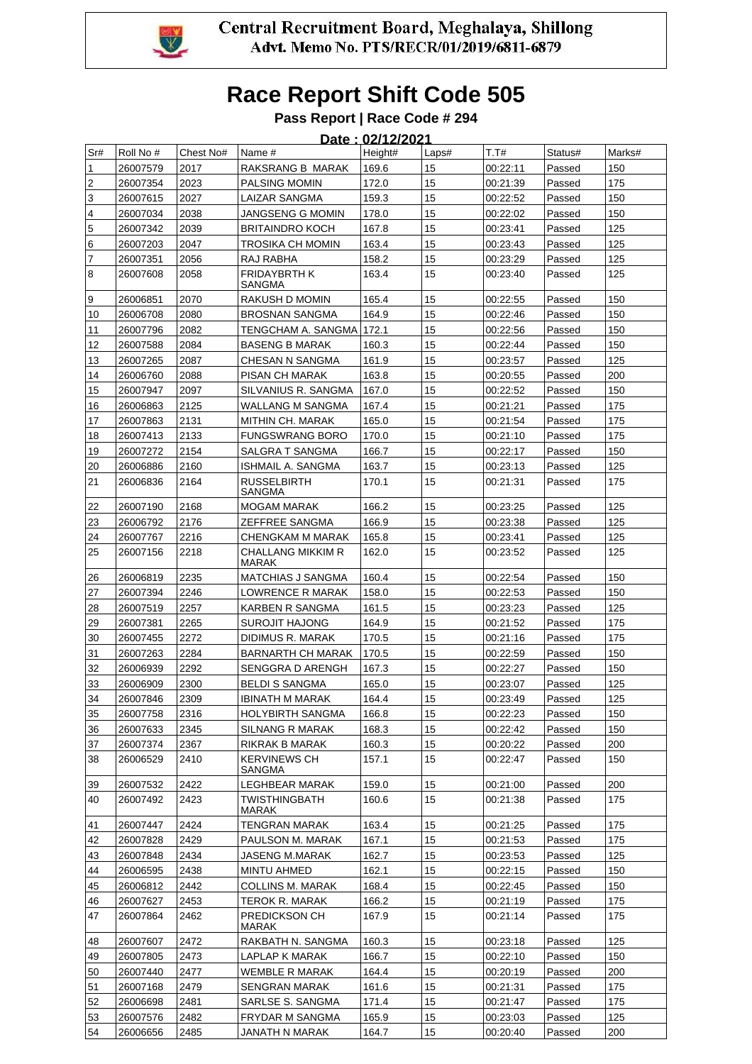

### **Pass Report | Race Code # 294**

|                |                      |              |                                                   | Date: 02/12/2021 |          |                      |                  |            |
|----------------|----------------------|--------------|---------------------------------------------------|------------------|----------|----------------------|------------------|------------|
| Sr#            | Roll No #            | Chest No#    | Name #                                            | Height#          | Laps#    | T.T#                 | Status#          | Marks#     |
| 1              | 26007579             | 2017         | RAKSRANG B MARAK                                  | 169.6            | 15       | 00:22:11             | Passed           | 150        |
| $\overline{c}$ | 26007354             | 2023         | PALSING MOMIN                                     | 172.0            | 15       | 00:21:39             | Passed           | 175        |
| 3              | 26007615             | 2027         | LAIZAR SANGMA                                     | 159.3            | 15       | 00:22:52             | Passed           | 150        |
| 4              | 26007034             | 2038         | JANGSENG G MOMIN                                  | 178.0            | 15       | 00:22:02             | Passed           | 150        |
| 5              | 26007342             | 2039         | <b>BRITAINDRO KOCH</b>                            | 167.8            | 15       | 00:23:41             | Passed           | 125        |
| 6              | 26007203             | 2047         | TROSIKA CH MOMIN                                  | 163.4            | 15       | 00:23:43             | Passed           | 125        |
| 7              | 26007351             | 2056         | RAJ RABHA                                         | 158.2            | 15       | 00:23:29             | Passed           | 125        |
| 8              | 26007608             | 2058         | <b>FRIDAYBRTH K</b><br>SANGMA                     | 163.4            | 15       | 00:23:40             | Passed           | 125        |
| 9              | 26006851             | 2070         | RAKUSH D MOMIN                                    | 165.4            | 15       | 00:22:55             | Passed           | 150        |
| 10             | 26006708             | 2080         | <b>BROSNAN SANGMA</b>                             | 164.9            | 15       | 00:22:46             | Passed           | 150        |
| 11             | 26007796             | 2082         | TENGCHAM A. SANGMA                                | 172.1            | 15       | 00:22:56             | Passed           | 150        |
| 12             | 26007588             | 2084         | <b>BASENG B MARAK</b>                             | 160.3            | 15       | 00:22:44             | Passed           | 150        |
| 13             | 26007265             | 2087         | CHESAN N SANGMA                                   | 161.9            | 15       | 00:23:57             | Passed           | 125        |
| 14             | 26006760             | 2088         | PISAN CH MARAK                                    | 163.8            | 15       | 00:20:55             | Passed           | 200        |
| 15             | 26007947             | 2097         | SILVANIUS R. SANGMA                               | 167.0            | 15       | 00:22:52             | Passed           | 150        |
| 16             | 26006863             | 2125         | WALLANG M SANGMA                                  | 167.4            | 15       | 00:21:21             | Passed           | 175        |
| 17             | 26007863             | 2131         | MITHIN CH. MARAK                                  | 165.0            | 15       | 00:21:54             | Passed           | 175        |
| 18             | 26007413             | 2133         | <b>FUNGSWRANG BORO</b>                            | 170.0            | 15       | 00:21:10             | Passed           | 175        |
| 19             | 26007272             | 2154         | SALGRA T SANGMA                                   | 166.7            | 15       | 00:22:17             | Passed           | 150        |
| 20             | 26006886             | 2160         | <b>ISHMAIL A. SANGMA</b>                          | 163.7            | 15       | 00:23:13             | Passed           | 125        |
| 21             | 26006836             | 2164         | <b>RUSSELBIRTH</b><br>SANGMA                      | 170.1            | 15       | 00:21:31             | Passed           | 175        |
| 22             | 26007190             | 2168         | <b>MOGAM MARAK</b>                                | 166.2            | 15       | 00:23:25             | Passed           | 125        |
| 23             | 26006792             | 2176         | ZEFFREE SANGMA                                    | 166.9            | 15       | 00:23:38             | Passed           | 125        |
| 24             | 26007767             | 2216         | CHENGKAM M MARAK                                  | 165.8            | 15       | 00:23:41             | Passed           | 125        |
| 25             | 26007156             | 2218         | CHALLANG MIKKIM R<br><b>MARAK</b>                 | 162.0            | 15       | 00:23:52             | Passed           | 125        |
| 26             | 26006819             | 2235         | <b>MATCHIAS J SANGMA</b>                          | 160.4            | 15       | 00:22:54             | Passed           | 150        |
| 27             | 26007394             | 2246         | <b>LOWRENCE R MARAK</b>                           | 158.0            | 15       | 00:22:53             | Passed           | 150        |
| 28             | 26007519             | 2257         | <b>KARBEN R SANGMA</b>                            | 161.5            | 15       | 00:23:23             | Passed           | 125        |
| 29             | 26007381             | 2265         | <b>SUROJIT HAJONG</b>                             | 164.9            | 15       | 00:21:52             | Passed           | 175        |
| 30             | 26007455             | 2272         | DIDIMUS R. MARAK                                  | 170.5            | 15       | 00:21:16             | Passed           | 175        |
| 31             | 26007263             | 2284         | <b>BARNARTH CH MARAK</b>                          | 170.5            | 15       | 00:22:59             | Passed           | 150        |
| 32             | 26006939             | 2292         | SENGGRA D ARENGH                                  | 167.3            | 15       | 00:22:27             | Passed           | 150        |
| 33             | 26006909             | 2300         | <b>BELDI S SANGMA</b>                             | 165.0            | 15       | 00:23:07             | Passed           | 125        |
| 34             | 26007846             | 2309<br>2316 | <b>IBINATH M MARAK</b><br><b>HOLYBIRTH SANGMA</b> | 164.4<br>166.8   | 15<br>15 | 00:23:49<br>00:22:23 | Passed           | 125<br>150 |
| 35<br>36       | 26007758<br>26007633 | 2345         | SILNANG R MARAK                                   | 168.3            | 15       | 00:22:42             | Passed<br>Passed | 150        |
| 37             | 26007374             | 2367         | RIKRAK B MARAK                                    | 160.3            | 15       | 00:20:22             | Passed           | 200        |
| 38             | 26006529             | 2410         | <b>KERVINEWS CH</b>                               | 157.1            | 15       | 00:22:47             | Passed           | 150        |
|                |                      |              | SANGMA                                            |                  |          |                      |                  |            |
| 39             | 26007532             | 2422         | LEGHBEAR MARAK                                    | 159.0            | 15       | 00:21:00             | Passed           | 200        |
| 40             | 26007492             | 2423         | TWISTHINGBATH<br>MARAK                            | 160.6            | 15       | 00:21:38             | Passed           | 175        |
| 41             | 26007447             | 2424         | TENGRAN MARAK                                     | 163.4            | 15       | 00:21:25             | Passed           | 175        |
| 42             | 26007828             | 2429         | PAULSON M. MARAK                                  | 167.1            | 15       | 00:21:53             | Passed           | 175        |
| 43             | 26007848             | 2434         | JASENG M.MARAK                                    | 162.7            | 15       | 00:23:53             | Passed           | 125        |
| 44             | 26006595             | 2438         | <b>MINTU AHMED</b>                                | 162.1            | 15       | 00:22:15             | Passed           | 150        |
| 45             | 26006812             | 2442         | COLLINS M. MARAK                                  | 168.4            | 15       | 00:22:45             | Passed           | 150        |
| 46             | 26007627             | 2453         | TEROK R. MARAK                                    | 166.2            | 15       | 00:21:19             | Passed           | 175        |
| 47             | 26007864             | 2462         | PREDICKSON CH<br>MARAK                            | 167.9            | 15       | 00:21:14             | Passed           | 175        |
| 48             | 26007607             | 2472         | RAKBATH N. SANGMA                                 | 160.3            | 15       | 00:23:18             | Passed           | 125        |
| 49             | 26007805             | 2473         | LAPLAP K MARAK                                    | 166.7            | 15       | 00:22:10             | Passed           | 150        |
| 50             | 26007440             | 2477         | WEMBLE R MARAK                                    | 164.4            | 15       | 00:20:19             | Passed           | 200        |
| 51             | 26007168             | 2479         | SENGRAN MARAK                                     | 161.6            | 15       | 00:21:31             | Passed           | 175        |
| 52             | 26006698             | 2481         | SARLSE S. SANGMA                                  | 171.4            | 15       | 00:21:47             | Passed           | 175        |
| 53             | 26007576             | 2482         | FRYDAR M SANGMA                                   | 165.9            | 15       | 00:23:03             | Passed           | 125        |
| 54             | 26006656             | 2485         | JANATH N MARAK                                    | 164.7            | 15       | 00:20:40             | Passed           | 200        |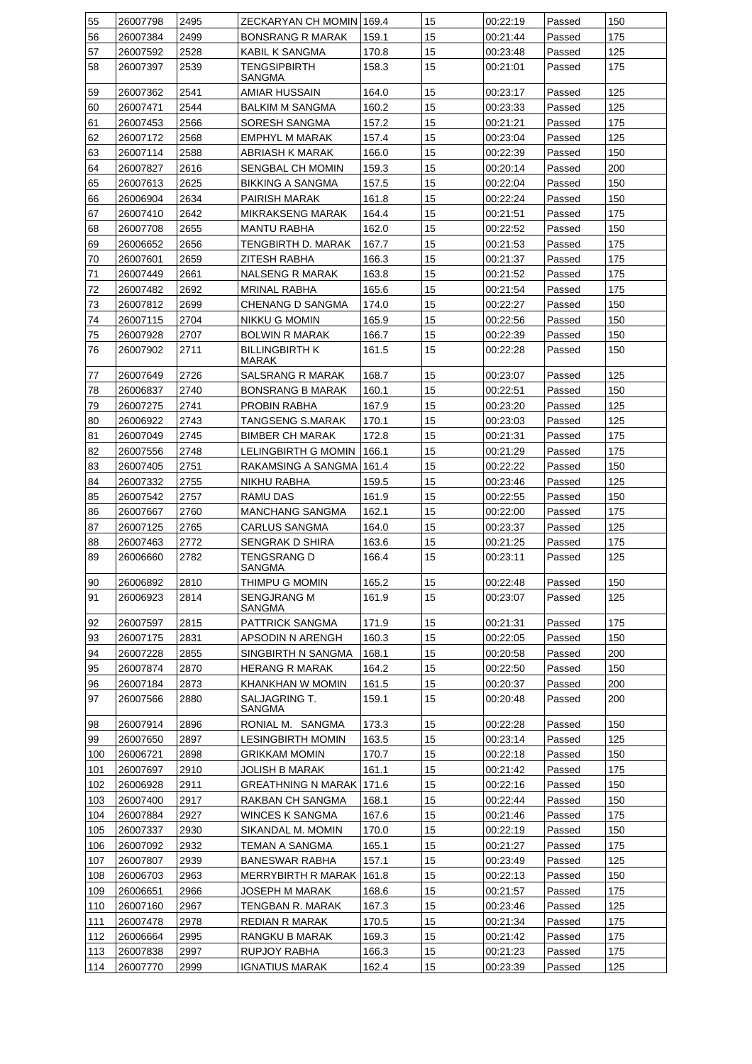| 55  | 26007798 | 2495 | ZECKARYAN CH MOMIN 169.4       |       | 15 | 00:22:19 | Passed | 150 |
|-----|----------|------|--------------------------------|-------|----|----------|--------|-----|
| 56  | 26007384 | 2499 | <b>BONSRANG R MARAK</b>        | 159.1 | 15 | 00:21:44 | Passed | 175 |
| 57  | 26007592 | 2528 | KABIL K SANGMA                 | 170.8 | 15 | 00:23:48 | Passed | 125 |
| 58  | 26007397 | 2539 | TENGSIPBIRTH<br>SANGMA         | 158.3 | 15 | 00:21:01 | Passed | 175 |
| 59  | 26007362 | 2541 | AMIAR HUSSAIN                  | 164.0 | 15 | 00:23:17 | Passed | 125 |
| 60  | 26007471 | 2544 | <b>BALKIM M SANGMA</b>         | 160.2 | 15 | 00:23:33 | Passed | 125 |
| 61  | 26007453 | 2566 | SORESH SANGMA                  | 157.2 | 15 | 00:21:21 | Passed | 175 |
| 62  | 26007172 | 2568 | EMPHYL M MARAK                 | 157.4 | 15 | 00:23:04 | Passed | 125 |
| 63  | 26007114 | 2588 | ABRIASH K MARAK                | 166.0 | 15 | 00:22:39 | Passed | 150 |
| 64  | 26007827 | 2616 | SENGBAL CH MOMIN               | 159.3 | 15 | 00:20:14 | Passed | 200 |
| 65  | 26007613 | 2625 | <b>BIKKING A SANGMA</b>        | 157.5 | 15 | 00:22:04 | Passed | 150 |
| 66  | 26006904 | 2634 | PAIRISH MARAK                  | 161.8 | 15 | 00:22:24 | Passed | 150 |
| 67  | 26007410 | 2642 | <b>MIKRAKSENG MARAK</b>        | 164.4 | 15 | 00:21:51 | Passed | 175 |
| 68  | 26007708 | 2655 | <b>MANTU RABHA</b>             | 162.0 | 15 | 00:22:52 | Passed | 150 |
| 69  |          | 2656 | TENGBIRTH D. MARAK             | 167.7 | 15 | 00:21:53 |        | 175 |
|     | 26006652 |      |                                |       | 15 |          | Passed |     |
| 70  | 26007601 | 2659 | ZITESH RABHA                   | 166.3 |    | 00:21:37 | Passed | 175 |
| 71  | 26007449 | 2661 | <b>NALSENG R MARAK</b>         | 163.8 | 15 | 00:21:52 | Passed | 175 |
| 72  | 26007482 | 2692 | <b>MRINAL RABHA</b>            | 165.6 | 15 | 00:21:54 | Passed | 175 |
| 73  | 26007812 | 2699 | CHENANG D SANGMA               | 174.0 | 15 | 00:22:27 | Passed | 150 |
| 74  | 26007115 | 2704 | NIKKU G MOMIN                  | 165.9 | 15 | 00:22:56 | Passed | 150 |
| 75  | 26007928 | 2707 | <b>BOLWIN R MARAK</b>          | 166.7 | 15 | 00:22:39 | Passed | 150 |
| 76  | 26007902 | 2711 | <b>BILLINGBIRTH K</b><br>MARAK | 161.5 | 15 | 00:22:28 | Passed | 150 |
| 77  | 26007649 | 2726 | SALSRANG R MARAK               | 168.7 | 15 | 00:23:07 | Passed | 125 |
| 78  | 26006837 | 2740 | <b>BONSRANG B MARAK</b>        | 160.1 | 15 | 00:22:51 | Passed | 150 |
| 79  | 26007275 | 2741 | PROBIN RABHA                   | 167.9 | 15 | 00:23:20 | Passed | 125 |
| 80  | 26006922 | 2743 | TANGSENG S.MARAK               | 170.1 | 15 | 00:23:03 | Passed | 125 |
| 81  | 26007049 | 2745 | <b>BIMBER CH MARAK</b>         | 172.8 | 15 | 00:21:31 | Passed | 175 |
| 82  | 26007556 | 2748 | LELINGBIRTH G MOMIN            | 166.1 | 15 | 00:21:29 | Passed | 175 |
| 83  | 26007405 | 2751 | RAKAMSING A SANGMA             | 161.4 | 15 | 00:22:22 | Passed | 150 |
| 84  | 26007332 | 2755 | <b>NIKHU RABHA</b>             | 159.5 | 15 | 00:23:46 | Passed | 125 |
| 85  | 26007542 | 2757 | <b>RAMU DAS</b>                | 161.9 | 15 | 00:22:55 | Passed | 150 |
| 86  | 26007667 | 2760 | <b>MANCHANG SANGMA</b>         | 162.1 | 15 | 00:22:00 | Passed | 175 |
| 87  | 26007125 | 2765 | CARLUS SANGMA                  | 164.0 | 15 | 00:23:37 | Passed | 125 |
| 88  | 26007463 | 2772 | SENGRAK D SHIRA                | 163.6 | 15 | 00:21:25 | Passed | 175 |
| 89  | 26006660 | 2782 | TENGSRANG D                    | 166.4 | 15 | 00:23:11 | Passed | 125 |
|     |          |      | SANGMA                         |       |    |          |        |     |
| 90  | 26006892 | 2810 | THIMPU G MOMIN                 | 165.2 | 15 | 00:22:48 | Passed | 150 |
| 91  | 26006923 | 2814 | <b>SENGJRANG M</b><br>SANGMA   | 161.9 | 15 | 00:23:07 | Passed | 125 |
| 92  | 26007597 | 2815 | PATTRICK SANGMA                | 171.9 | 15 | 00:21:31 | Passed | 175 |
| 93  | 26007175 | 2831 | APSODIN N ARENGH               | 160.3 | 15 | 00:22:05 | Passed | 150 |
| 94  | 26007228 | 2855 | SINGBIRTH N SANGMA             | 168.1 | 15 | 00:20:58 | Passed | 200 |
| 95  | 26007874 | 2870 | <b>HERANG R MARAK</b>          | 164.2 | 15 | 00:22:50 | Passed | 150 |
| 96  | 26007184 | 2873 | KHANKHAN W MOMIN               | 161.5 | 15 | 00:20:37 | Passed | 200 |
| 97  | 26007566 | 2880 | SALJAGRING T.<br>SANGMA        | 159.1 | 15 | 00:20:48 | Passed | 200 |
| 98  | 26007914 | 2896 | RONIAL M. SANGMA               | 173.3 | 15 | 00:22:28 | Passed | 150 |
| 99  | 26007650 | 2897 | <b>LESINGBIRTH MOMIN</b>       | 163.5 | 15 | 00:23:14 | Passed | 125 |
| 100 | 26006721 | 2898 | GRIKKAM MOMIN                  | 170.7 | 15 | 00:22:18 | Passed | 150 |
| 101 | 26007697 | 2910 | JOLISH B MARAK                 | 161.1 | 15 | 00:21:42 | Passed | 175 |
| 102 | 26006928 | 2911 | <b>GREATHNING N MARAK</b>      | 171.6 | 15 | 00:22:16 | Passed | 150 |
| 103 | 26007400 | 2917 | RAKBAN CH SANGMA               | 168.1 | 15 | 00:22:44 |        | 150 |
|     |          |      |                                |       |    |          | Passed |     |
| 104 | 26007884 | 2927 | <b>WINCES K SANGMA</b>         | 167.6 | 15 | 00:21:46 | Passed | 175 |
| 105 | 26007337 | 2930 | SIKANDAL M. MOMIN              | 170.0 | 15 | 00:22:19 | Passed | 150 |
| 106 | 26007092 | 2932 | TEMAN A SANGMA                 | 165.1 | 15 | 00:21:27 | Passed | 175 |
| 107 | 26007807 | 2939 | <b>BANESWAR RABHA</b>          | 157.1 | 15 | 00:23:49 | Passed | 125 |
| 108 | 26006703 | 2963 | <b>MERRYBIRTH R MARAK</b>      | 161.8 | 15 | 00:22:13 | Passed | 150 |
| 109 | 26006651 | 2966 | JOSEPH M MARAK                 | 168.6 | 15 | 00:21:57 | Passed | 175 |
| 110 | 26007160 | 2967 | TENGBAN R. MARAK               | 167.3 | 15 | 00:23:46 | Passed | 125 |
| 111 | 26007478 | 2978 | REDIAN R MARAK                 | 170.5 | 15 | 00:21:34 | Passed | 175 |
| 112 | 26006664 | 2995 | RANGKU B MARAK                 | 169.3 | 15 | 00:21:42 | Passed | 175 |
| 113 | 26007838 | 2997 | RUPJOY RABHA                   | 166.3 | 15 | 00:21:23 | Passed | 175 |
| 114 | 26007770 | 2999 | <b>IGNATIUS MARAK</b>          | 162.4 | 15 | 00:23:39 | Passed | 125 |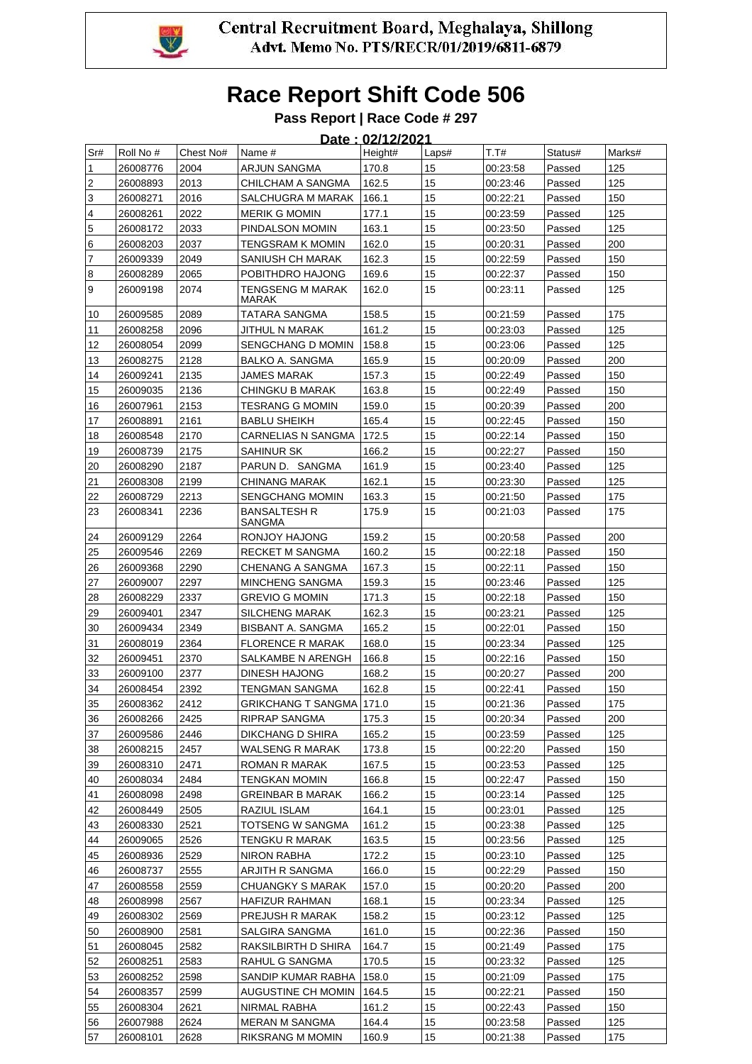

### **Pass Report | Race Code # 297**

|                         | Date: 02/12/2021     |              |                                          |                |          |                      |                  |            |  |  |  |
|-------------------------|----------------------|--------------|------------------------------------------|----------------|----------|----------------------|------------------|------------|--|--|--|
| Sr#                     | Roll No #            | Chest No#    | Name #                                   | Height#        | Laps#    | T.T#                 | Status#          | Marks#     |  |  |  |
| 1                       | 26008776             | 2004         | ARJUN SANGMA                             | 170.8          | 15       | 00:23:58             | Passed           | 125        |  |  |  |
| $\boldsymbol{2}$        | 26008893             | 2013         | CHILCHAM A SANGMA                        | 162.5          | 15       | 00:23:46             | Passed           | 125        |  |  |  |
| 3                       | 26008271             | 2016         | SALCHUGRA M MARAK                        | 166.1          | 15       | 00:22:21             | Passed           | 150        |  |  |  |
| $\overline{\mathbf{4}}$ | 26008261             | 2022         | <b>MERIK G MOMIN</b>                     | 177.1          | 15       | 00:23:59             | Passed           | 125        |  |  |  |
| 5                       | 26008172             | 2033         | PINDALSON MOMIN                          | 163.1          | 15       | 00:23:50             | Passed           | 125        |  |  |  |
| 6                       | 26008203             | 2037         | TENGSRAM K MOMIN                         | 162.0          | 15       | 00:20:31             | Passed           | 200        |  |  |  |
| 7                       | 26009339             | 2049         | SANIUSH CH MARAK                         | 162.3          | 15       | 00:22:59             | Passed           | 150        |  |  |  |
| 8                       | 26008289             | 2065         | POBITHDRO HAJONG                         | 169.6          | 15       | 00:22:37             | Passed           | 150        |  |  |  |
| 9                       | 26009198             | 2074         | <b>TENGSENG M MARAK</b><br>MARAK         | 162.0          | 15       | 00:23:11             | Passed           | 125        |  |  |  |
| 10                      | 26009585             | 2089         | TATARA SANGMA                            | 158.5          | 15       | 00:21:59             | Passed           | 175        |  |  |  |
| 11                      | 26008258             | 2096         | JITHUL N MARAK                           | 161.2          | 15       | 00:23:03             | Passed           | 125        |  |  |  |
| 12                      | 26008054             | 2099         | SENGCHANG D MOMIN                        | 158.8          | 15       | 00:23:06             | Passed           | 125        |  |  |  |
| 13                      | 26008275             | 2128         | BALKO A. SANGMA                          | 165.9          | 15       | 00:20:09             | Passed           | 200        |  |  |  |
| 14                      | 26009241             | 2135         | <b>JAMES MARAK</b>                       | 157.3          | 15       | 00:22:49             | Passed           | 150        |  |  |  |
| 15                      | 26009035             | 2136         | CHINGKU B MARAK                          | 163.8          | 15       | 00:22:49             | Passed           | 150        |  |  |  |
| 16                      | 26007961             | 2153         | TESRANG G MOMIN                          | 159.0          | 15       | 00:20:39             | Passed           | 200        |  |  |  |
| 17                      | 26008891             | 2161         | <b>BABLU SHEIKH</b>                      | 165.4          | 15       | 00:22:45             | Passed           | 150        |  |  |  |
| 18                      | 26008548             | 2170         | CARNELIAS N SANGMA                       | 172.5          | 15       | 00:22:14             | Passed           | 150        |  |  |  |
| 19                      | 26008739             | 2175         | SAHINUR SK                               | 166.2          | 15       | 00:22:27             | Passed           | 150        |  |  |  |
| 20                      | 26008290             | 2187         | PARUN D. SANGMA                          | 161.9          | 15       | 00:23:40             | Passed           | 125        |  |  |  |
| 21                      | 26008308             | 2199         | <b>CHINANG MARAK</b>                     | 162.1          | 15       | 00:23:30             | Passed           | 125        |  |  |  |
| 22                      | 26008729             | 2213         | <b>SENGCHANG MOMIN</b>                   | 163.3          | 15       | 00:21:50             | Passed           | 175        |  |  |  |
| 23                      | 26008341             | 2236         | <b>BANSALTESH R</b><br>SANGMA            | 175.9          | 15       | 00:21:03             | Passed           | 175        |  |  |  |
| 24                      | 26009129             | 2264         | RONJOY HAJONG                            | 159.2          | 15       | 00:20:58             | Passed           | 200        |  |  |  |
| 25                      | 26009546             | 2269         | RECKET M SANGMA                          | 160.2          | 15       | 00:22:18             | Passed           | 150        |  |  |  |
| 26                      | 26009368             | 2290         | CHENANG A SANGMA                         | 167.3          | 15       | 00:22:11             | Passed           | 150        |  |  |  |
| 27                      | 26009007             | 2297         | <b>MINCHENG SANGMA</b>                   | 159.3          | 15       | 00:23:46             | Passed           | 125        |  |  |  |
| 28                      | 26008229             | 2337         | <b>GREVIO G MOMIN</b>                    | 171.3          | 15       | 00:22:18             | Passed           | 150        |  |  |  |
| 29                      | 26009401             | 2347         | <b>SILCHENG MARAK</b>                    | 162.3          | 15       | 00:23:21             | Passed           | 125        |  |  |  |
| 30                      | 26009434             | 2349         | BISBANT A. SANGMA                        | 165.2          | 15       | 00:22:01             | Passed           | 150        |  |  |  |
| 31                      | 26008019             | 2364         | <b>FLORENCE R MARAK</b>                  | 168.0          | 15       | 00:23:34             | Passed           | 125        |  |  |  |
| 32                      | 26009451             | 2370         | <b>SALKAMBE N ARENGH</b>                 | 166.8          | 15       | 00:22:16             | Passed           | 150        |  |  |  |
| 33                      | 26009100             | 2377         | DINESH HAJONG                            | 168.2          | 15       | 00:20:27             | Passed           | 200        |  |  |  |
| 34                      | 26008454             | 2392         | TENGMAN SANGMA                           | 162.8          | 15       | 00:22:41             | Passed           | 150        |  |  |  |
| $\overline{35}$         | 26008362             | 2412         | GRIKCHANG T SANGMA   171.0               |                | 15       | 00:21:36             | Passed           | 175        |  |  |  |
| 36                      | 26008266             | 2425         | RIPRAP SANGMA                            | 175.3          | 15       | 00:20:34             | Passed           | 200        |  |  |  |
| 37                      | 26009586             | 2446         | DIKCHANG D SHIRA                         | 165.2          | 15       | 00:23:59             | Passed           | 125        |  |  |  |
| 38                      | 26008215             | 2457         | WALSENG R MARAK<br>ROMAN R MARAK         | 173.8          | 15<br>15 | 00:22:20             | Passed           | 150<br>125 |  |  |  |
| 39                      | 26008310             | 2471         |                                          | 167.5          | 15       | 00:23:53             | Passed           |            |  |  |  |
| 40                      | 26008034             | 2484         | TENGKAN MOMIN<br><b>GREINBAR B MARAK</b> | 166.8          | 15       | 00:22:47             | Passed           | 150<br>125 |  |  |  |
| 41<br>42                | 26008098<br>26008449 | 2498<br>2505 | RAZIUL ISLAM                             | 166.2<br>164.1 | 15       | 00:23:14<br>00:23:01 | Passed<br>Passed | 125        |  |  |  |
| 43                      | 26008330             | 2521         | TOTSENG W SANGMA                         | 161.2          | 15       | 00:23:38             | Passed           | 125        |  |  |  |
| 44                      | 26009065             | 2526         | TENGKU R MARAK                           | 163.5          | 15       | 00:23:56             | Passed           | 125        |  |  |  |
| 45                      | 26008936             | 2529         | NIRON RABHA                              | 172.2          | 15       | 00:23:10             | Passed           | 125        |  |  |  |
| 46                      | 26008737             | 2555         | ARJITH R SANGMA                          | 166.0          | 15       | 00:22:29             | Passed           | 150        |  |  |  |
| 47                      | 26008558             | 2559         | CHUANGKY S MARAK                         | 157.0          | 15       | 00:20:20             | Passed           | 200        |  |  |  |
| 48                      | 26008998             | 2567         | HAFIZUR RAHMAN                           | 168.1          | 15       | 00:23:34             | Passed           | 125        |  |  |  |
| 49                      | 26008302             | 2569         | PREJUSH R MARAK                          | 158.2          | 15       | 00:23:12             | Passed           | 125        |  |  |  |
| 50                      | 26008900             | 2581         | SALGIRA SANGMA                           | 161.0          | 15       | 00:22:36             | Passed           | 150        |  |  |  |
| 51                      | 26008045             | 2582         | RAKSILBIRTH D SHIRA                      | 164.7          | 15       | 00:21:49             | Passed           | 175        |  |  |  |
| 52                      | 26008251             | 2583         | RAHUL G SANGMA                           | 170.5          | 15       | 00:23:32             | Passed           | 125        |  |  |  |
| 53                      | 26008252             | 2598         | SANDIP KUMAR RABHA                       | 158.0          | 15       | 00:21:09             | Passed           | 175        |  |  |  |
| 54                      | 26008357             | 2599         | AUGUSTINE CH MOMIN                       | 164.5          | 15       | 00:22:21             | Passed           | 150        |  |  |  |
| 55                      | 26008304             | 2621         | NIRMAL RABHA                             | 161.2          | 15       | 00:22:43             | Passed           | 150        |  |  |  |
| 56                      | 26007988             | 2624         | MERAN M SANGMA                           | 164.4          | 15       | 00:23:58             | Passed           | 125        |  |  |  |
| 57                      | 26008101             | 2628         | RIKSRANG M MOMIN                         | 160.9          | 15       | 00:21:38             | Passed           | 175        |  |  |  |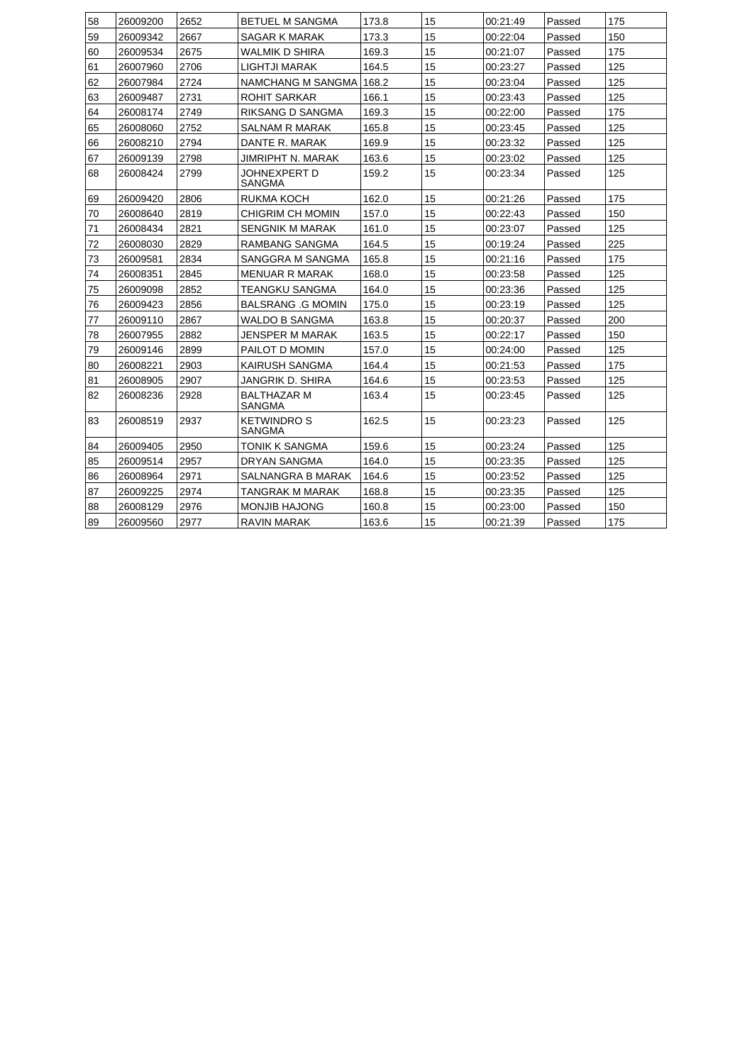| 58 | 26009200 | 2652 | <b>BETUEL M SANGMA</b>             | 173.8 | 15 | 00:21:49 | Passed |     |
|----|----------|------|------------------------------------|-------|----|----------|--------|-----|
|    |          |      |                                    |       |    |          |        | 175 |
| 59 | 26009342 | 2667 | SAGAR K MARAK                      | 173.3 | 15 | 00:22:04 | Passed | 150 |
| 60 | 26009534 | 2675 | <b>WALMIK D SHIRA</b>              | 169.3 | 15 | 00:21:07 | Passed | 175 |
| 61 | 26007960 | 2706 | LIGHTJI MARAK                      | 164.5 | 15 | 00:23:27 | Passed | 125 |
| 62 | 26007984 | 2724 | NAMCHANG M SANGMA                  | 168.2 | 15 | 00:23:04 | Passed | 125 |
| 63 | 26009487 | 2731 | <b>ROHIT SARKAR</b>                | 166.1 | 15 | 00:23:43 | Passed | 125 |
| 64 | 26008174 | 2749 | <b>RIKSANG D SANGMA</b>            | 169.3 | 15 | 00:22:00 | Passed | 175 |
| 65 | 26008060 | 2752 | <b>SALNAM R MARAK</b>              | 165.8 | 15 | 00:23:45 | Passed | 125 |
| 66 | 26008210 | 2794 | DANTE R. MARAK                     | 169.9 | 15 | 00:23:32 | Passed | 125 |
| 67 | 26009139 | 2798 | JIMRIPHT N. MARAK                  | 163.6 | 15 | 00:23:02 | Passed | 125 |
| 68 | 26008424 | 2799 | JOHNEXPERT D<br>SANGMA             | 159.2 | 15 | 00:23:34 | Passed | 125 |
| 69 | 26009420 | 2806 | RUKMA KOCH                         | 162.0 | 15 | 00:21:26 | Passed | 175 |
| 70 | 26008640 | 2819 | <b>CHIGRIM CH MOMIN</b>            | 157.0 | 15 | 00:22:43 | Passed | 150 |
| 71 | 26008434 | 2821 | SENGNIK M MARAK                    | 161.0 | 15 | 00:23:07 | Passed | 125 |
| 72 | 26008030 | 2829 | <b>RAMBANG SANGMA</b>              | 164.5 | 15 | 00:19:24 | Passed | 225 |
| 73 | 26009581 | 2834 | SANGGRA M SANGMA                   | 165.8 | 15 | 00:21:16 | Passed | 175 |
| 74 | 26008351 | 2845 | <b>MENUAR R MARAK</b>              | 168.0 | 15 | 00:23:58 | Passed | 125 |
| 75 | 26009098 | 2852 | TEANGKU SANGMA                     | 164.0 | 15 | 00:23:36 | Passed | 125 |
| 76 | 26009423 | 2856 | <b>BALSRANG .G MOMIN</b>           | 175.0 | 15 | 00:23:19 | Passed | 125 |
| 77 | 26009110 | 2867 | <b>WALDO B SANGMA</b>              | 163.8 | 15 | 00:20:37 | Passed | 200 |
| 78 | 26007955 | 2882 | JENSPER M MARAK                    | 163.5 | 15 | 00:22:17 | Passed | 150 |
| 79 | 26009146 | 2899 | PAILOT D MOMIN                     | 157.0 | 15 | 00:24:00 | Passed | 125 |
| 80 | 26008221 | 2903 | KAIRUSH SANGMA                     | 164.4 | 15 | 00:21:53 | Passed | 175 |
| 81 | 26008905 | 2907 | JANGRIK D. SHIRA                   | 164.6 | 15 | 00:23:53 | Passed | 125 |
| 82 | 26008236 | 2928 | <b>BALTHAZAR M</b><br>SANGMA       | 163.4 | 15 | 00:23:45 | Passed | 125 |
| 83 | 26008519 | 2937 | <b>KETWINDROS</b><br><b>SANGMA</b> | 162.5 | 15 | 00:23:23 | Passed | 125 |
| 84 | 26009405 | 2950 | <b>TONIK K SANGMA</b>              | 159.6 | 15 | 00:23:24 | Passed | 125 |
| 85 | 26009514 | 2957 | DRYAN SANGMA                       | 164.0 | 15 | 00:23:35 | Passed | 125 |
| 86 | 26008964 | 2971 | SALNANGRA B MARAK                  | 164.6 | 15 | 00:23:52 | Passed | 125 |
| 87 | 26009225 | 2974 | <b>TANGRAK M MARAK</b>             | 168.8 | 15 | 00:23:35 | Passed | 125 |
| 88 | 26008129 | 2976 | MONJIB HAJONG                      | 160.8 | 15 | 00:23:00 | Passed | 150 |
| 89 | 26009560 | 2977 | <b>RAVIN MARAK</b>                 | 163.6 | 15 | 00:21:39 | Passed | 175 |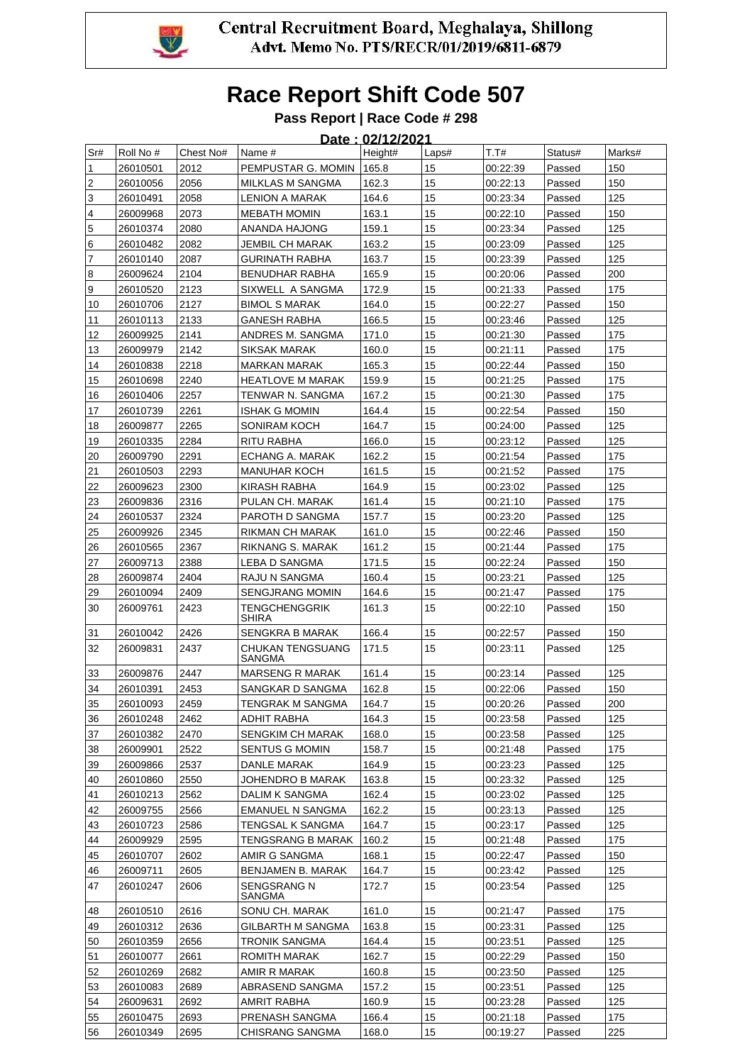

### **Pass Report | Race Code # 298**

|     | Date: 02/12/2021 |           |                               |         |       |          |         |        |  |  |  |
|-----|------------------|-----------|-------------------------------|---------|-------|----------|---------|--------|--|--|--|
| Sr# | Roll No #        | Chest No# | Name #                        | Height# | Laps# | T.T#     | Status# | Marks# |  |  |  |
| 1   | 26010501         | 2012      | PEMPUSTAR G. MOMIN            | 165.8   | 15    | 00:22:39 | Passed  | 150    |  |  |  |
| 2   | 26010056         | 2056      | MILKLAS M SANGMA              | 162.3   | 15    | 00:22:13 | Passed  | 150    |  |  |  |
| 3   | 26010491         | 2058      | LENION A MARAK                | 164.6   | 15    | 00:23:34 | Passed  | 125    |  |  |  |
| 4   | 26009968         | 2073      | <b>MEBATH MOMIN</b>           | 163.1   | 15    | 00:22:10 | Passed  | 150    |  |  |  |
| 5   | 26010374         | 2080      | ANANDA HAJONG                 | 159.1   | 15    | 00:23:34 | Passed  | 125    |  |  |  |
| 6   | 26010482         | 2082      | JEMBIL CH MARAK               | 163.2   | 15    | 00:23:09 | Passed  | 125    |  |  |  |
| 7   | 26010140         | 2087      | <b>GURINATH RABHA</b>         | 163.7   | 15    | 00:23:39 | Passed  | 125    |  |  |  |
| 8   | 26009624         | 2104      | BENUDHAR RABHA                | 165.9   | 15    | 00:20:06 | Passed  | 200    |  |  |  |
| 9   | 26010520         | 2123      | SIXWELL A SANGMA              | 172.9   | 15    | 00:21:33 | Passed  | 175    |  |  |  |
| 10  | 26010706         | 2127      | <b>BIMOL S MARAK</b>          | 164.0   | 15    | 00:22:27 | Passed  | 150    |  |  |  |
| 11  | 26010113         | 2133      | <b>GANESH RABHA</b>           | 166.5   | 15    | 00:23:46 | Passed  | 125    |  |  |  |
| 12  | 26009925         | 2141      | ANDRES M. SANGMA              | 171.0   | 15    | 00:21:30 | Passed  | 175    |  |  |  |
| 13  | 26009979         | 2142      | SIKSAK MARAK                  | 160.0   | 15    | 00:21:11 | Passed  | 175    |  |  |  |
| 14  | 26010838         | 2218      | <b>MARKAN MARAK</b>           | 165.3   | 15    | 00:22:44 | Passed  | 150    |  |  |  |
| 15  | 26010698         | 2240      | <b>HEATLOVE M MARAK</b>       | 159.9   | 15    | 00:21:25 | Passed  | 175    |  |  |  |
| 16  | 26010406         | 2257      | TENWAR N. SANGMA              | 167.2   | 15    | 00:21:30 | Passed  | 175    |  |  |  |
| 17  | 26010739         | 2261      | <b>ISHAK G MOMIN</b>          | 164.4   | 15    | 00:22:54 | Passed  | 150    |  |  |  |
| 18  | 26009877         | 2265      | SONIRAM KOCH                  | 164.7   | 15    | 00:24:00 | Passed  | 125    |  |  |  |
| 19  | 26010335         | 2284      | RITU RABHA                    | 166.0   | 15    | 00:23:12 | Passed  | 125    |  |  |  |
| 20  | 26009790         | 2291      | ECHANG A. MARAK               | 162.2   | 15    | 00:21:54 | Passed  | 175    |  |  |  |
| 21  | 26010503         | 2293      | <b>MANUHAR KOCH</b>           | 161.5   | 15    | 00:21:52 | Passed  | 175    |  |  |  |
| 22  | 26009623         | 2300      | KIRASH RABHA                  | 164.9   | 15    | 00:23:02 | Passed  | 125    |  |  |  |
| 23  | 26009836         | 2316      | PULAN CH. MARAK               | 161.4   | 15    | 00:21:10 | Passed  | 175    |  |  |  |
| 24  | 26010537         | 2324      | PAROTH D SANGMA               | 157.7   | 15    | 00:23:20 | Passed  | 125    |  |  |  |
| 25  | 26009926         | 2345      | RIKMAN CH MARAK               | 161.0   | 15    | 00:22:46 | Passed  | 150    |  |  |  |
| 26  | 26010565         | 2367      | RIKNANG S. MARAK              | 161.2   | 15    | 00:21:44 | Passed  | 175    |  |  |  |
| 27  | 26009713         | 2388      | LEBA D SANGMA                 | 171.5   | 15    | 00:22:24 | Passed  | 150    |  |  |  |
| 28  | 26009874         | 2404      | RAJU N SANGMA                 | 160.4   | 15    | 00:23:21 | Passed  | 125    |  |  |  |
| 29  | 26010094         | 2409      | <b>SENGJRANG MOMIN</b>        | 164.6   | 15    | 00:21:47 | Passed  | 175    |  |  |  |
| 30  | 26009761         | 2423      | TENGCHENGGRIK<br><b>SHIRA</b> | 161.3   | 15    | 00:22:10 | Passed  | 150    |  |  |  |
| 31  | 26010042         | 2426      | SENGKRA B MARAK               | 166.4   | 15    | 00:22:57 | Passed  | 150    |  |  |  |
| 32  | 26009831         | 2437      | CHUKAN TENGSUANG<br>SANGMA    | 171.5   | 15    | 00:23:11 | Passed  | 125    |  |  |  |
| 33  | 26009876         | 2447      | <b>MARSENG R MARAK</b>        | 161.4   | 15    | 00:23:14 | Passed  | 125    |  |  |  |
| 34  | 26010391         | 2453      | SANGKAR D SANGMA              | 162.8   | 15    | 00:22:06 | Passed  | 150    |  |  |  |
| 35  | 26010093         | 2459      | TENGRAK M SANGMA              | 164.7   | 15    | 00:20:26 | Passed  | 200    |  |  |  |
| 36  | 26010248         | 2462      | ADHIT RABHA                   | 164.3   | 15    | 00:23:58 | Passed  | 125    |  |  |  |
| 37  | 26010382         | 2470      | <b>SENGKIM CH MARAK</b>       | 168.0   | 15    | 00:23:58 | Passed  | 125    |  |  |  |
| 38  | 26009901         | 2522      | <b>SENTUS G MOMIN</b>         | 158.7   | 15    | 00:21:48 | Passed  | 175    |  |  |  |
| 39  | 26009866         | 2537      | DANLE MARAK                   | 164.9   | 15    | 00:23:23 | Passed  | 125    |  |  |  |
| 40  | 26010860         | 2550      | JOHENDRO B MARAK              | 163.8   | 15    | 00:23:32 | Passed  | 125    |  |  |  |
| 41  | 26010213         | 2562      | DALIM K SANGMA                | 162.4   | 15    | 00:23:02 | Passed  | 125    |  |  |  |
| 42  | 26009755         | 2566      | <b>EMANUEL N SANGMA</b>       | 162.2   | 15    | 00:23:13 | Passed  | 125    |  |  |  |
| 43  | 26010723         | 2586      | TENGSAL K SANGMA              | 164.7   | 15    | 00:23:17 | Passed  | 125    |  |  |  |
| 44  | 26009929         | 2595      | TENGSRANG B MARAK             | 160.2   | 15    | 00:21:48 | Passed  | 175    |  |  |  |
| 45  | 26010707         | 2602      | AMIR G SANGMA                 | 168.1   | 15    | 00:22:47 | Passed  | 150    |  |  |  |
| 46  | 26009711         | 2605      | <b>BENJAMEN B. MARAK</b>      | 164.7   | 15    | 00:23:42 | Passed  | 125    |  |  |  |
| 47  | 26010247         | 2606      | SENGSRANG N<br>SANGMA         | 172.7   | 15    | 00:23:54 | Passed  | 125    |  |  |  |
| 48  | 26010510         | 2616      | SONU CH. MARAK                | 161.0   | 15    | 00:21:47 | Passed  | 175    |  |  |  |
| 49  | 26010312         | 2636      | GILBARTH M SANGMA             | 163.8   | 15    | 00:23:31 | Passed  | 125    |  |  |  |
| 50  | 26010359         | 2656      | TRONIK SANGMA                 | 164.4   | 15    | 00:23:51 | Passed  | 125    |  |  |  |
| 51  | 26010077         | 2661      | ROMITH MARAK                  | 162.7   | 15    | 00:22:29 | Passed  | 150    |  |  |  |
| 52  | 26010269         | 2682      | AMIR R MARAK                  | 160.8   | 15    | 00:23:50 | Passed  | 125    |  |  |  |
| 53  | 26010083         | 2689      | ABRASEND SANGMA               | 157.2   | 15    | 00:23:51 | Passed  | 125    |  |  |  |
| 54  | 26009631         | 2692      | AMRIT RABHA                   | 160.9   | 15    | 00:23:28 | Passed  | 125    |  |  |  |
| 55  | 26010475         | 2693      | PRENASH SANGMA                | 166.4   | 15    | 00:21:18 | Passed  | 175    |  |  |  |
| 56  | 26010349         | 2695      | CHISRANG SANGMA               | 168.0   | 15    | 00:19:27 | Passed  | 225    |  |  |  |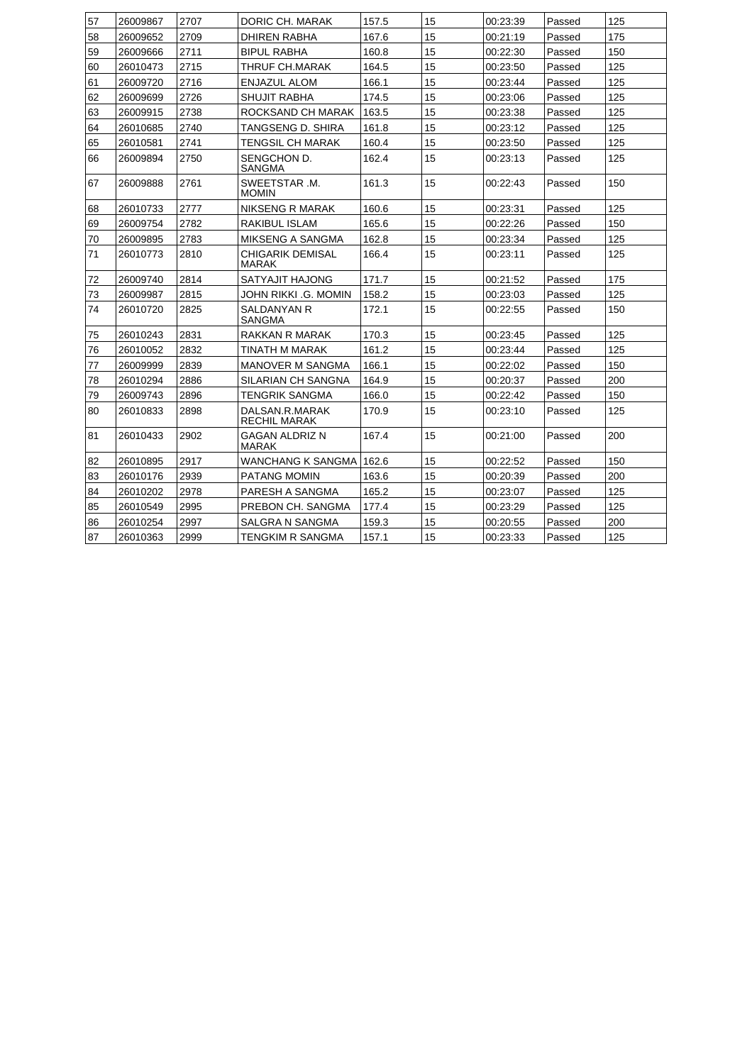| 57 | 26009867 | 2707 | DORIC CH. MARAK                       | 157.5 | 15 | 00:23:39 | Passed | 125 |
|----|----------|------|---------------------------------------|-------|----|----------|--------|-----|
| 58 | 26009652 | 2709 | DHIREN RABHA                          | 167.6 | 15 | 00:21:19 | Passed | 175 |
| 59 | 26009666 | 2711 | <b>BIPUL RABHA</b>                    | 160.8 | 15 | 00:22:30 | Passed | 150 |
| 60 | 26010473 | 2715 | THRUF CH.MARAK                        | 164.5 | 15 | 00:23:50 | Passed | 125 |
| 61 | 26009720 | 2716 | ENJAZUL ALOM                          | 166.1 | 15 | 00:23:44 | Passed | 125 |
| 62 | 26009699 | 2726 | SHUJIT RABHA                          | 174.5 | 15 | 00:23:06 | Passed | 125 |
| 63 | 26009915 | 2738 | ROCKSAND CH MARAK                     | 163.5 | 15 | 00:23:38 | Passed | 125 |
| 64 | 26010685 | 2740 | TANGSENG D. SHIRA                     | 161.8 | 15 | 00:23:12 | Passed | 125 |
| 65 | 26010581 | 2741 | TENGSIL CH MARAK                      | 160.4 | 15 | 00:23:50 | Passed | 125 |
| 66 | 26009894 | 2750 | SENGCHON D.<br>SANGMA                 | 162.4 | 15 | 00:23:13 | Passed | 125 |
| 67 | 26009888 | 2761 | SWEETSTAR .M.<br><b>MOMIN</b>         | 161.3 | 15 | 00:22:43 | Passed | 150 |
| 68 | 26010733 | 2777 | NIKSENG R MARAK                       | 160.6 | 15 | 00:23:31 | Passed | 125 |
| 69 | 26009754 | 2782 | RAKIBUL ISLAM                         | 165.6 | 15 | 00:22:26 | Passed | 150 |
| 70 | 26009895 | 2783 | MIKSENG A SANGMA                      | 162.8 | 15 | 00:23:34 | Passed | 125 |
| 71 | 26010773 | 2810 | CHIGARIK DEMISAL<br><b>MARAK</b>      | 166.4 | 15 | 00:23:11 | Passed | 125 |
| 72 | 26009740 | 2814 | SATYAJIT HAJONG                       | 171.7 | 15 | 00:21:52 | Passed | 175 |
| 73 | 26009987 | 2815 | JOHN RIKKI .G. MOMIN                  | 158.2 | 15 | 00:23:03 | Passed | 125 |
| 74 | 26010720 | 2825 | <b>SALDANYAN R</b><br><b>SANGMA</b>   | 172.1 | 15 | 00:22:55 | Passed | 150 |
| 75 | 26010243 | 2831 | RAKKAN R MARAK                        | 170.3 | 15 | 00:23:45 | Passed | 125 |
| 76 | 26010052 | 2832 | TINATH M MARAK                        | 161.2 | 15 | 00:23:44 | Passed | 125 |
| 77 | 26009999 | 2839 | <b>MANOVER M SANGMA</b>               | 166.1 | 15 | 00:22:02 | Passed | 150 |
| 78 | 26010294 | 2886 | SILARIAN CH SANGNA                    | 164.9 | 15 | 00:20:37 | Passed | 200 |
| 79 | 26009743 | 2896 | <b>TENGRIK SANGMA</b>                 | 166.0 | 15 | 00:22:42 | Passed | 150 |
| 80 | 26010833 | 2898 | DALSAN.R.MARAK<br>RECHIL MARAK        | 170.9 | 15 | 00:23:10 | Passed | 125 |
| 81 | 26010433 | 2902 | <b>GAGAN ALDRIZ N</b><br><b>MARAK</b> | 167.4 | 15 | 00:21:00 | Passed | 200 |
| 82 | 26010895 | 2917 | WANCHANG K SANGMA                     | 162.6 | 15 | 00:22:52 | Passed | 150 |
| 83 | 26010176 | 2939 | <b>PATANG MOMIN</b>                   | 163.6 | 15 | 00:20:39 | Passed | 200 |
| 84 | 26010202 | 2978 | PARESH A SANGMA                       | 165.2 | 15 | 00:23:07 | Passed | 125 |
| 85 | 26010549 | 2995 | PREBON CH. SANGMA                     | 177.4 | 15 | 00:23:29 | Passed | 125 |
| 86 | 26010254 | 2997 | SALGRA N SANGMA                       | 159.3 | 15 | 00:20:55 | Passed | 200 |
| 87 | 26010363 | 2999 | TENGKIM R SANGMA                      | 157.1 | 15 | 00:23:33 | Passed | 125 |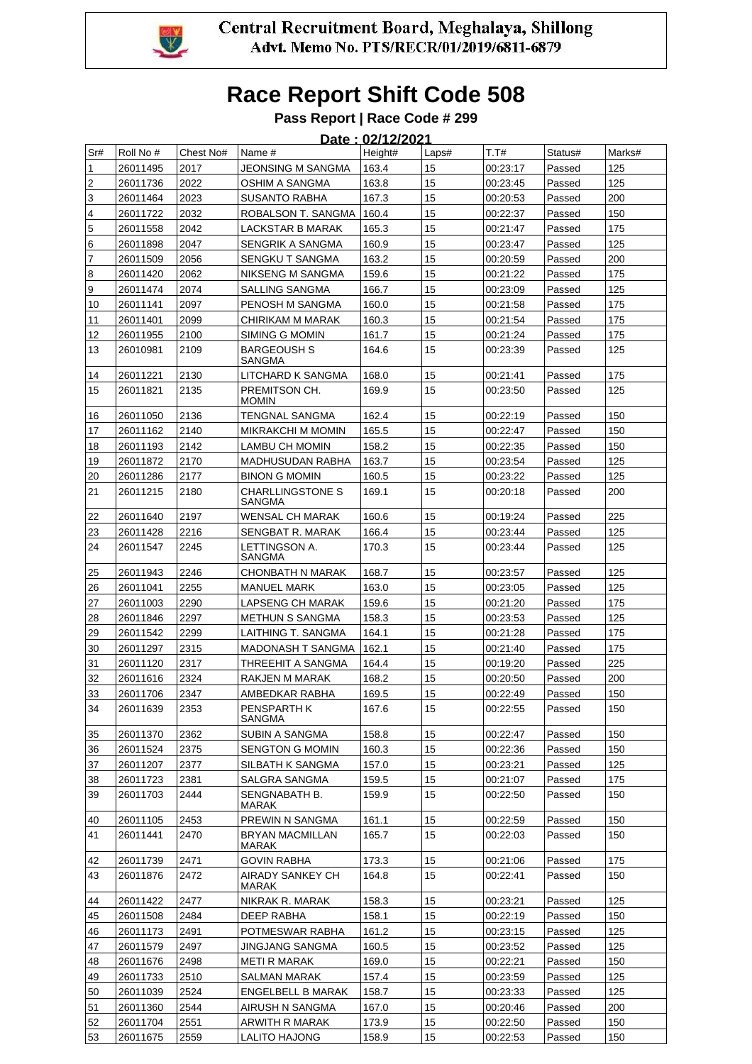

#### **Pass Report | Race Code # 299** .<br>00/10/2021

|                         |           |           |                                        | <u> Date : 02/12/2021</u> |       |          |         |        |
|-------------------------|-----------|-----------|----------------------------------------|---------------------------|-------|----------|---------|--------|
| Sr#                     | Roll No # | Chest No# | Name #                                 | Height#                   | Laps# | T.T#     | Status# | Marks# |
| 1                       | 26011495  | 2017      | JEONSING M SANGMA                      | 163.4                     | 15    | 00:23:17 | Passed  | 125    |
| $\boldsymbol{2}$        | 26011736  | 2022      | OSHIM A SANGMA                         | 163.8                     | 15    | 00:23:45 | Passed  | 125    |
| $\mathsf 3$             | 26011464  | 2023      | SUSANTO RABHA                          | 167.3                     | 15    | 00:20:53 | Passed  | 200    |
| $\overline{\mathbf{4}}$ | 26011722  | 2032      | ROBALSON T. SANGMA                     | 160.4                     | 15    | 00:22:37 | Passed  | 150    |
| $\overline{5}$          | 26011558  | 2042      | LACKSTAR B MARAK                       | 165.3                     | 15    | 00:21:47 | Passed  | 175    |
| 6                       | 26011898  | 2047      | SENGRIK A SANGMA                       | 160.9                     | 15    | 00:23:47 | Passed  | 125    |
| $\overline{7}$          | 26011509  | 2056      | SENGKU T SANGMA                        | 163.2                     | 15    | 00:20:59 | Passed  | 200    |
| 8                       | 26011420  | 2062      | NIKSENG M SANGMA                       | 159.6                     | 15    | 00:21:22 | Passed  | 175    |
| $\boldsymbol{9}$        | 26011474  | 2074      | <b>SALLING SANGMA</b>                  | 166.7                     | 15    | 00:23:09 | Passed  | 125    |
| 10                      | 26011141  | 2097      | PENOSH M SANGMA                        | 160.0                     | 15    | 00:21:58 | Passed  | 175    |
| 11                      | 26011401  | 2099      | CHIRIKAM M MARAK                       | 160.3                     | 15    | 00:21:54 | Passed  | 175    |
| 12                      | 26011955  | 2100      | SIMING G MOMIN                         | 161.7                     | 15    | 00:21:24 | Passed  | 175    |
| 13                      | 26010981  | 2109      | <b>BARGEOUSH S</b><br>SANGMA           | 164.6                     | 15    | 00:23:39 | Passed  | 125    |
| 14                      | 26011221  | 2130      | LITCHARD K SANGMA                      | 168.0                     | 15    | 00:21:41 | Passed  | 175    |
| 15                      | 26011821  | 2135      | PREMITSON CH.<br><b>MOMIN</b>          | 169.9                     | 15    | 00:23:50 | Passed  | 125    |
| 16                      | 26011050  | 2136      | TENGNAL SANGMA                         | 162.4                     | 15    | 00:22:19 | Passed  | 150    |
| 17                      | 26011162  | 2140      | MIKRAKCHI M MOMIN                      | 165.5                     | 15    | 00:22:47 | Passed  | 150    |
| 18                      | 26011193  | 2142      | LAMBU CH MOMIN                         | 158.2                     | 15    | 00:22:35 | Passed  | 150    |
| 19                      | 26011872  | 2170      | <b>MADHUSUDAN RABHA</b>                | 163.7                     | 15    | 00:23:54 | Passed  | 125    |
| 20                      | 26011286  | 2177      | <b>BINON G MOMIN</b>                   | 160.5                     | 15    | 00:23:22 | Passed  | 125    |
| 21                      | 26011215  | 2180      | <b>CHARLLINGSTONE S</b><br>SANGMA      | 169.1                     | 15    | 00:20:18 | Passed  | 200    |
| 22                      | 26011640  | 2197      | WENSAL CH MARAK                        | 160.6                     | 15    | 00:19:24 | Passed  | 225    |
| 23                      | 26011428  | 2216      | SENGBAT R. MARAK                       | 166.4                     | 15    | 00:23:44 | Passed  | 125    |
| 24                      | 26011547  | 2245      | LETTINGSON A.<br>SANGMA                | 170.3                     | 15    | 00:23:44 | Passed  | 125    |
| 25                      | 26011943  | 2246      | <b>CHONBATH N MARAK</b>                | 168.7                     | 15    | 00:23:57 | Passed  | 125    |
| 26                      | 26011041  | 2255      | <b>MANUEL MARK</b>                     | 163.0                     | 15    | 00:23:05 | Passed  | 125    |
| 27                      | 26011003  | 2290      | LAPSENG CH MARAK                       | 159.6                     | 15    | 00:21:20 | Passed  | 175    |
| 28                      | 26011846  | 2297      | <b>METHUN S SANGMA</b>                 | 158.3                     | 15    | 00:23:53 | Passed  | 125    |
| 29                      | 26011542  | 2299      | LAITHING T. SANGMA                     | 164.1                     | 15    | 00:21:28 | Passed  | 175    |
| 30                      | 26011297  | 2315      | <b>MADONASH T SANGMA</b>               | 162.1                     | 15    | 00:21:40 | Passed  | 175    |
| 31                      | 26011120  | 2317      | THREEHIT A SANGMA                      | 164.4                     | 15    | 00:19:20 | Passed  | 225    |
| 32                      | 26011616  | 2324      | RAKJEN M MARAK                         | 168.2                     | 15    | 00:20:50 | Passed  | 200    |
| 33                      | 26011706  | 2347      | AMBEDKAR RABHA                         | 169.5                     | 15    | 00:22:49 | Passed  | 150    |
| 34                      | 26011639  | 2353      | <b>PENSPARTH K</b><br>SANGMA           | 167.6                     | 15    | 00:22:55 | Passed  | 150    |
| 35                      | 26011370  | 2362      | SUBIN A SANGMA                         | 158.8                     | 15    | 00:22:47 | Passed  | 150    |
| 36                      | 26011524  | 2375      | <b>SENGTON G MOMIN</b>                 | 160.3                     | 15    | 00:22:36 | Passed  | 150    |
| 37                      | 26011207  | 2377      | SILBATH K SANGMA                       | 157.0                     | 15    | 00:23:21 | Passed  | 125    |
| 38                      | 26011723  | 2381      | SALGRA SANGMA                          | 159.5                     | 15    | 00:21:07 | Passed  | 175    |
| 39                      | 26011703  | 2444      | SENGNABATH B.<br>MARAK                 | 159.9                     | 15    | 00:22:50 | Passed  | 150    |
| 40                      | 26011105  | 2453      | PREWIN N SANGMA                        | 161.1                     | 15    | 00:22:59 | Passed  | 150    |
| 41                      | 26011441  | 2470      | <b>BRYAN MACMILLAN</b><br><b>MARAK</b> | 165.7                     | 15    | 00:22:03 | Passed  | 150    |
| 42                      | 26011739  | 2471      | <b>GOVIN RABHA</b>                     | 173.3                     | 15    | 00:21:06 | Passed  | 175    |
| 43                      | 26011876  | 2472      | AIRADY SANKEY CH<br>MARAK              | 164.8                     | 15    | 00:22:41 | Passed  | 150    |
| 44                      | 26011422  | 2477      | NIKRAK R. MARAK                        | 158.3                     | 15    | 00:23:21 | Passed  | 125    |
| 45                      | 26011508  | 2484      | DEEP RABHA                             | 158.1                     | 15    | 00:22:19 | Passed  | 150    |
| 46                      | 26011173  | 2491      | POTMESWAR RABHA                        | 161.2                     | 15    | 00:23:15 | Passed  | 125    |
| 47                      | 26011579  | 2497      | JINGJANG SANGMA                        | 160.5                     | 15    | 00:23:52 | Passed  | 125    |
| 48                      | 26011676  | 2498      | <b>METI R MARAK</b>                    | 169.0                     | 15    | 00:22:21 | Passed  | 150    |
| 49                      | 26011733  | 2510      | SALMAN MARAK                           | 157.4                     | 15    | 00:23:59 | Passed  | 125    |
| 50                      | 26011039  | 2524      | <b>ENGELBELL B MARAK</b>               | 158.7                     | 15    | 00:23:33 | Passed  | 125    |
| 51                      | 26011360  | 2544      | AIRUSH N SANGMA                        | 167.0                     | 15    | 00:20:46 | Passed  | 200    |
| 52                      | 26011704  | 2551      | ARWITH R MARAK                         | 173.9                     | 15    | 00:22:50 | Passed  | 150    |
| 53                      | 26011675  | 2559      | LALITO HAJONG                          | 158.9                     | 15    | 00:22:53 | Passed  | 150    |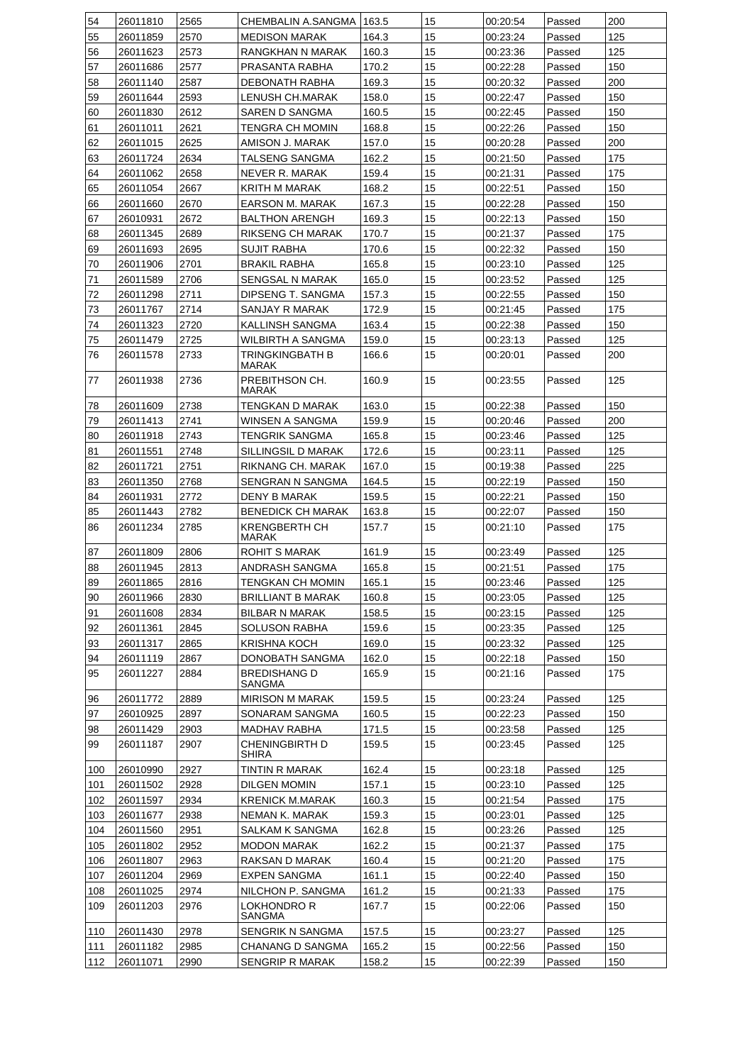| 54  | 26011810 | 2565 | CHEMBALIN A.SANGMA   163.5           |       | 15 | 00:20:54 | Passed | 200 |
|-----|----------|------|--------------------------------------|-------|----|----------|--------|-----|
| 55  | 26011859 | 2570 | <b>MEDISON MARAK</b>                 | 164.3 | 15 | 00:23:24 | Passed | 125 |
| 56  | 26011623 | 2573 | RANGKHAN N MARAK                     | 160.3 | 15 | 00:23:36 | Passed | 125 |
| 57  | 26011686 | 2577 | PRASANTA RABHA                       | 170.2 | 15 | 00:22:28 | Passed | 150 |
| 58  | 26011140 | 2587 | DEBONATH RABHA                       | 169.3 | 15 | 00:20:32 | Passed | 200 |
| 59  | 26011644 | 2593 | LENUSH CH.MARAK                      | 158.0 | 15 | 00:22:47 | Passed | 150 |
| 60  | 26011830 | 2612 | SAREN D SANGMA                       | 160.5 | 15 | 00:22:45 | Passed | 150 |
| 61  | 26011011 | 2621 | TENGRA CH MOMIN                      | 168.8 | 15 | 00:22:26 | Passed | 150 |
| 62  | 26011015 | 2625 | AMISON J. MARAK                      | 157.0 | 15 | 00:20:28 | Passed | 200 |
| 63  | 26011724 | 2634 | TALSENG SANGMA                       | 162.2 | 15 | 00:21:50 | Passed | 175 |
| 64  | 26011062 | 2658 | NEVER R. MARAK                       | 159.4 | 15 | 00:21:31 | Passed | 175 |
| 65  | 26011054 | 2667 | KRITH M MARAK                        | 168.2 | 15 | 00:22:51 | Passed | 150 |
| 66  | 26011660 | 2670 | EARSON M. MARAK                      | 167.3 | 15 | 00:22:28 | Passed | 150 |
| 67  | 26010931 | 2672 | <b>BALTHON ARENGH</b>                | 169.3 | 15 | 00:22:13 | Passed | 150 |
| 68  | 26011345 | 2689 | RIKSENG CH MARAK                     | 170.7 | 15 | 00:21:37 | Passed | 175 |
| 69  | 26011693 | 2695 | <b>SUJIT RABHA</b>                   | 170.6 | 15 | 00:22:32 | Passed | 150 |
| 70  | 26011906 | 2701 | <b>BRAKIL RABHA</b>                  | 165.8 | 15 | 00:23:10 | Passed | 125 |
| 71  | 26011589 | 2706 | <b>SENGSAL N MARAK</b>               | 165.0 | 15 | 00:23:52 | Passed | 125 |
| 72  | 26011298 | 2711 | DIPSENG T. SANGMA                    | 157.3 | 15 | 00:22:55 | Passed | 150 |
| 73  | 26011767 | 2714 | SANJAY R MARAK                       | 172.9 | 15 | 00:21:45 | Passed | 175 |
| 74  | 26011323 | 2720 | KALLINSH SANGMA                      | 163.4 | 15 | 00:22:38 | Passed | 150 |
| 75  | 26011479 | 2725 | WILBIRTH A SANGMA                    | 159.0 | 15 | 00:23:13 | Passed | 125 |
| 76  | 26011578 | 2733 | TRINGKINGBATH B                      | 166.6 | 15 | 00:20:01 | Passed | 200 |
|     |          |      | MARAK                                |       |    |          |        |     |
| 77  | 26011938 | 2736 | PREBITHSON CH.<br>MARAK              | 160.9 | 15 | 00:23:55 | Passed | 125 |
| 78  | 26011609 | 2738 | TENGKAN D MARAK                      | 163.0 | 15 | 00:22:38 | Passed | 150 |
| 79  | 26011413 | 2741 | WINSEN A SANGMA                      | 159.9 | 15 | 00:20:46 | Passed | 200 |
| 80  | 26011918 | 2743 | TENGRIK SANGMA                       | 165.8 | 15 | 00:23:46 | Passed | 125 |
| 81  | 26011551 | 2748 | SILLINGSIL D MARAK                   | 172.6 | 15 | 00:23:11 | Passed | 125 |
| 82  | 26011721 | 2751 | RIKNANG CH. MARAK                    | 167.0 | 15 | 00:19:38 | Passed | 225 |
| 83  | 26011350 | 2768 | SENGRAN N SANGMA                     | 164.5 | 15 | 00:22:19 | Passed | 150 |
| 84  | 26011931 | 2772 | <b>DENY B MARAK</b>                  | 159.5 | 15 | 00:22:21 | Passed | 150 |
| 85  | 26011443 | 2782 | <b>BENEDICK CH MARAK</b>             | 163.8 | 15 | 00:22:07 | Passed | 150 |
| 86  | 26011234 | 2785 | <b>KRENGBERTH CH</b><br><b>MARAK</b> | 157.7 | 15 | 00:21:10 | Passed | 175 |
| 87  | 26011809 | 2806 | <b>ROHIT S MARAK</b>                 | 161.9 | 15 | 00:23:49 | Passed | 125 |
| 88  | 26011945 | 2813 | ANDRASH SANGMA                       | 165.8 | 15 | 00:21:51 | Passed | 175 |
| 89  | 26011865 | 2816 | TENGKAN CH MOMIN                     | 165.1 | 15 | 00:23:46 | Passed | 125 |
| 90  | 26011966 | 2830 | <b>BRILLIANT B MARAK</b>             | 160.8 | 15 | 00:23:05 | Passed | 125 |
| 91  | 26011608 | 2834 | BILBAR N MARAK                       | 158.5 | 15 | 00:23:15 | Passed | 125 |
| 92  | 26011361 | 2845 | SOLUSON RABHA                        | 159.6 | 15 | 00:23:35 | Passed | 125 |
| 93  | 26011317 | 2865 | <b>KRISHNA KOCH</b>                  | 169.0 | 15 | 00:23:32 | Passed | 125 |
| 94  | 26011119 | 2867 | DONOBATH SANGMA                      | 162.0 | 15 | 00:22:18 | Passed | 150 |
| 95  | 26011227 | 2884 | <b>BREDISHANG D</b>                  | 165.9 | 15 | 00:21:16 | Passed | 175 |
|     |          |      | SANGMA                               |       |    |          |        |     |
| 96  | 26011772 | 2889 | <b>MIRISON M MARAK</b>               | 159.5 | 15 | 00:23:24 | Passed | 125 |
| 97  | 26010925 | 2897 | SONARAM SANGMA                       | 160.5 | 15 | 00:22:23 | Passed | 150 |
| 98  | 26011429 | 2903 | <b>MADHAV RABHA</b>                  | 171.5 | 15 | 00:23:58 | Passed | 125 |
| 99  | 26011187 | 2907 | CHENINGBIRTH D<br>SHIRA              | 159.5 | 15 | 00:23:45 | Passed | 125 |
| 100 | 26010990 | 2927 | TINTIN R MARAK                       | 162.4 | 15 | 00:23:18 | Passed | 125 |
| 101 | 26011502 | 2928 | DILGEN MOMIN                         | 157.1 | 15 | 00:23:10 | Passed | 125 |
| 102 | 26011597 | 2934 | <b>KRENICK M.MARAK</b>               | 160.3 | 15 | 00:21:54 | Passed | 175 |
| 103 | 26011677 | 2938 | NEMAN K. MARAK                       | 159.3 | 15 | 00:23:01 | Passed | 125 |
| 104 | 26011560 | 2951 | SALKAM K SANGMA                      | 162.8 | 15 | 00:23:26 | Passed | 125 |
| 105 | 26011802 | 2952 | <b>MODON MARAK</b>                   | 162.2 | 15 | 00:21:37 | Passed | 175 |
| 106 | 26011807 | 2963 | RAKSAN D MARAK                       | 160.4 | 15 | 00:21:20 | Passed | 175 |
| 107 | 26011204 | 2969 | <b>EXPEN SANGMA</b>                  | 161.1 | 15 | 00:22:40 | Passed | 150 |
| 108 | 26011025 | 2974 | NILCHON P. SANGMA                    | 161.2 | 15 | 00:21:33 | Passed | 175 |
| 109 | 26011203 | 2976 | LOKHONDRO R<br>SANGMA                | 167.7 | 15 | 00:22:06 | Passed | 150 |
| 110 | 26011430 | 2978 | SENGRIK N SANGMA                     | 157.5 | 15 | 00:23:27 | Passed | 125 |
| 111 | 26011182 | 2985 | CHANANG D SANGMA                     | 165.2 | 15 | 00:22:56 | Passed | 150 |
| 112 | 26011071 | 2990 | <b>SENGRIP R MARAK</b>               | 158.2 | 15 | 00:22:39 | Passed | 150 |
|     |          |      |                                      |       |    |          |        |     |

 $\top$ 

 $\top$ 

Г

т

т